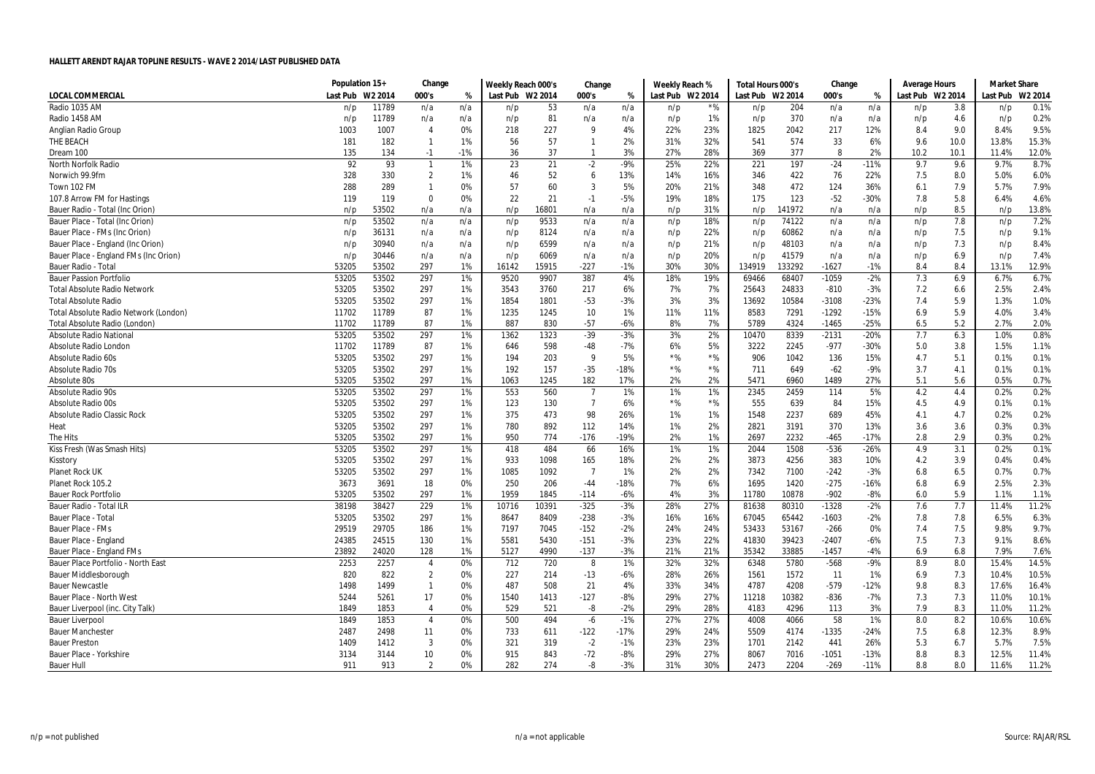|                                       | Population 15+ |         | Change         |       | Weekly Reach 000's |       | Change         |        | Weekly Reach %   |       | Total Hours 000's |        | Change  |        | Average Hours    |      | <b>Market Share</b> |         |
|---------------------------------------|----------------|---------|----------------|-------|--------------------|-------|----------------|--------|------------------|-------|-------------------|--------|---------|--------|------------------|------|---------------------|---------|
| <b>LOCAL COMMERCIAL</b>               | Last Pub       | W2 2014 | 000's          | %     | Last Pub W2 2014   |       | 000's          | %      | Last Pub W2 2014 |       | Last Pub W2 2014  |        | 000's   | %      | Last Pub W2 2014 |      | Last Pub            | W2 2014 |
| Radio 1035 AM                         | n/p            | 11789   | n/a            | n/a   | n/p                | 53    | n/a            | n/a    | n/p              | *%    | n/p               | 204    | n/a     | n/a    | n/p              | 3.8  | n/p                 | 0.1%    |
| Radio 1458 AM                         | n/p            | 11789   | n/a            | n/a   | n/p                | 81    | n/a            | n/a    | n/p              | 1%    | n/p               | 370    | n/a     | n/a    | n/p              | 4.6  | n/p                 | 0.2%    |
| Anglian Radio Group                   | 1003           | 1007    | $\overline{4}$ | 0%    | 218                | 227   | 9              | 4%     | 22%              | 23%   | 1825              | 2042   | 217     | 12%    | 8.4              | 9.0  | 8.4%                | 9.5%    |
| THE BEACH                             | 181            | 182     | $\mathbf{1}$   | 1%    | 56                 | 57    | $\mathbf{1}$   | 2%     | 31%              | 32%   | 541               | 574    | 33      | 6%     | 9.6              | 10.0 | 13.8%               | 15.3%   |
| Dream 100                             | 135            | 134     | $-1$           | $-1%$ | 36                 | 37    | -1             | 3%     | 27%              | 28%   | 369               | 377    | 8       | 2%     | 10.2             | 10.1 | 11.4%               | 12.0%   |
| North Norfolk Radio                   | 92             | 93      | $\overline{1}$ | 1%    | 23                 | 21    | $-2$           | $-9%$  | 25%              | 22%   | 221               | 197    | $-24$   | $-11%$ | 9.7              | 9.6  | 9.7%                | 8.7%    |
| Norwich 99.9fm                        | 328            | 330     | $\overline{2}$ | 1%    | 46                 | 52    | 6              | 13%    | 14%              | 16%   | 346               | 422    | 76      | 22%    | 7.5              | 8.0  | 5.0%                | 6.0%    |
| Town 102 FM                           | 288            | 289     | -1             | 0%    | 57                 | 60    | 3              | 5%     | 20%              | 21%   | 348               | 472    | 124     | 36%    | 6.1              | 7.9  | 5.7%                | 7.9%    |
| 107.8 Arrow FM for Hastings           | 119            | 119     | $\mathbf 0$    | 0%    | 22                 | 21    | $-1$           | $-5%$  | 19%              | 18%   | 175               | 123    | $-52$   | $-30%$ | 7.8              | 5.8  | 6.4%                | 4.6%    |
| Bauer Radio - Total (Inc Orion)       | n/p            | 53502   | n/a            | n/a   | n/p                | 16801 | n/a            | n/a    | n/p              | 31%   | n/p               | 141972 | n/a     | n/a    | n/p              | 8.5  | n/p                 | 13.8%   |
| Bauer Place - Total (Inc Orion)       | n/p            | 53502   | n/a            | n/a   | n/p                | 9533  | n/a            | n/a    | n/p              | 18%   | n/p               | 74122  | n/a     | n/a    | n/p              | 7.8  | n/p                 | 7.2%    |
| Bauer Place - FMs (Inc Orion)         | n/p            | 36131   | n/a            | n/a   | n/p                | 8124  | n/a            | n/a    | n/p              | 22%   | n/p               | 60862  | n/a     | n/a    | n/p              | 7.5  | n/p                 | 9.1%    |
| Bauer Place - England (Inc Orion)     | n/p            | 30940   | n/a            | n/a   | n/p                | 6599  | n/a            | n/a    | n/p              | 21%   | n/p               | 48103  | n/a     | n/a    | n/p              | 7.3  | n/p                 | 8.4%    |
| Bauer Place - England FMs (Inc Orion) | n/p            | 30446   | n/a            | n/a   | n/p                | 6069  | n/a            | n/a    | n/p              | 20%   | n/p               | 41579  | n/a     | n/a    | n/p              | 6.9  | n/p                 | 7.4%    |
| <b>Bauer Radio - Total</b>            | 53205          | 53502   | 297            | 1%    | 16142              | 15915 | $-227$         | $-1%$  | 30%              | 30%   | 134919            | 133292 | $-1627$ | $-1%$  | 8.4              | 8.4  | 13.1%               | 12.9%   |
| <b>Bauer Passion Portfolio</b>        | 53205          | 53502   | 297            | 1%    | 9520               | 9907  | 387            | 4%     | 18%              | 19%   | 69466             | 68407  | $-1059$ | $-2%$  | 7.3              | 6.9  | 6.7%                | 6.7%    |
| <b>Total Absolute Radio Network</b>   | 53205          | 53502   | 297            | 1%    | 3543               | 3760  | 217            | 6%     | 7%               | 7%    | 25643             | 24833  | $-810$  | $-3%$  | 7.2              | 6.6  | 2.5%                | 2.4%    |
| <b>Total Absolute Radio</b>           | 53205          | 53502   | 297            | 1%    | 1854               | 1801  | $-53$          | $-3%$  | 3%               | 3%    | 13692             | 10584  | $-3108$ | $-23%$ | 7.4              | 5.9  | 1.3%                | 1.0%    |
| Total Absolute Radio Network (London) | 11702          | 11789   | 87             | 1%    | 1235               | 1245  | 10             | 1%     | 11%              | 11%   | 8583              | 7291   | $-1292$ | $-15%$ | 6.9              | 5.9  | 4.0%                | 3.4%    |
| Total Absolute Radio (London)         | 11702          | 11789   | 87             | 1%    | 887                | 830   | $-57$          | $-6%$  | 8%               | 7%    | 5789              | 4324   | $-1465$ | $-25%$ | 6.5              | 5.2  | 2.7%                | 2.0%    |
| <b>Absolute Radio National</b>        | 53205          | 53502   | 297            | 1%    | 1362               | 1323  | $-39$          | $-3%$  | 3%               | 2%    | 10470             | 8339   | $-2131$ | $-20%$ | 7.7              | 6.3  | 1.0%                | 0.8%    |
| Absolute Radio London                 | 11702          | 11789   | 87             | 1%    | 646                | 598   | $-48$          | $-7%$  | 6%               | 5%    | 3222              | 2245   | $-977$  | $-30%$ | 5.0              | 3.8  | 1.5%                | 1.1%    |
| Absolute Radio 60s                    | 53205          | 53502   | 297            | 1%    | 194                | 203   | 9              | 5%     | $*$ %            | $*$ % | 906               | 1042   | 136     | 15%    | 4.7              | 5.1  | 0.1%                | 0.1%    |
| <b>Absolute Radio 70s</b>             | 53205          | 53502   | 297            | 1%    | 192                | 157   | $-35$          | $-18%$ | $*$ %            | $*$ % | 711               | 649    | $-62$   | $-9%$  | 3.7              | 4.1  | 0.1%                | 0.1%    |
| Absolute 80s                          | 53205          | 53502   | 297            | 1%    | 1063               | 1245  | 182            | 17%    | 2%               | 2%    | 5471              | 6960   | 1489    | 27%    | 5.1              | 5.6  | 0.5%                | 0.7%    |
| <b>Absolute Radio 90s</b>             | 53205          | 53502   | 297            | 1%    | 553                | 560   | $\overline{7}$ | 1%     | 1%               | 1%    | 2345              | 2459   | 114     | 5%     | 4.2              | 4.4  | 0.2%                | 0.2%    |
| <b>Absolute Radio 00s</b>             | 53205          | 53502   | 297            | 1%    | 123                | 130   | $\overline{7}$ | 6%     | $*$ %            | $*$ % | 555               | 639    | 84      | 15%    | 4.5              | 4.9  | 0.1%                | 0.1%    |
| <b>Absolute Radio Classic Rock</b>    | 53205          | 53502   | 297            | 1%    | 375                | 473   | 98             | 26%    | 1%               | 1%    | 1548              | 2237   | 689     | 45%    | 4.1              | 4.7  | 0.2%                | 0.2%    |
| Heat                                  | 53205          | 53502   | 297            | 1%    | 780                | 892   | 112            | 14%    | 1%               | 2%    | 2821              | 3191   | 370     | 13%    | 3.6              | 3.6  | 0.3%                | 0.3%    |
| The Hits                              | 53205          | 53502   | 297            | 1%    | 950                | 774   | -176           | $-19%$ | 2%               | 1%    | 2697              | 2232   | $-465$  | $-17%$ | 2.8              | 2.9  | 0.3%                | 0.2%    |
| Kiss Fresh (Was Smash Hits)           | 53205          | 53502   | 297            | 1%    | 418                | 484   | 66             | 16%    | 1%               | 1%    | 2044              | 1508   | $-536$  | $-26%$ | 4.9              | 3.1  | 0.2%                | 0.1%    |
| Kisstory                              | 53205          | 53502   | 297            | 1%    | 933                | 1098  | 165            | 18%    | 2%               | 2%    | 3873              | 4256   | 383     | 10%    | 4.2              | 3.9  | 0.4%                | 0.4%    |
| Planet Rock UK                        | 53205          | 53502   | 297            | 1%    | 1085               | 1092  | $\overline{7}$ | 1%     | 2%               | 2%    | 7342              | 7100   | $-242$  | $-3%$  | 6.8              | 6.5  | 0.7%                | 0.7%    |
| Planet Rock 105.2                     | 3673           | 3691    | 18             | 0%    | 250                | 206   | -44            | $-18%$ | 7%               | 6%    | 1695              | 1420   | $-275$  | $-16%$ | 6.8              | 6.9  | 2.5%                | 2.3%    |
| <b>Bauer Rock Portfolio</b>           | 53205          | 53502   | 297            | 1%    | 1959               | 1845  | $-114$         | $-6%$  | 4%               | 3%    | 11780             | 10878  | $-902$  | $-8%$  | 6.0              | 5.9  | 1.1%                | 1.1%    |
| Bauer Radio - Total ILR               | 38198          | 38427   | 229            | 1%    | 10716              | 10391 | $-325$         | $-3%$  | 28%              | 27%   | 81638             | 80310  | $-1328$ | $-2%$  | 7.6              | 7.7  | 11.4%               | 11.2%   |
| Bauer Place - Tota                    | 53205          | 53502   | 297            | 1%    | 8647               | 8409  | $-238$         | $-3%$  | 16%              | 16%   | 67045             | 65442  | $-1603$ | $-2%$  | 7.8              | 7.8  | 6.5%                | 6.3%    |
| Bauer Place - FMs                     | 29519          | 29705   | 186            | 1%    | 7197               | 7045  | $-152$         | $-2%$  | 24%              | 24%   | 53433             | 53167  | $-266$  | 0%     | 7.4              | 7.5  | 9.8%                | 9.7%    |
| Bauer Place - England                 | 24385          | 24515   | 130            | 1%    | 5581               | 5430  | $-151$         | $-3%$  | 23%              | 22%   | 41830             | 39423  | $-2407$ | $-6%$  | 7.5              | 7.3  | 9.1%                | 8.6%    |
| Bauer Place - England FMs             | 23892          | 24020   | 128            | 1%    | 5127               | 4990  | $-137$         | $-3%$  | 21%              | 21%   | 35342             | 33885  | $-1457$ | -4%    | 6.9              | 6.8  | 7.9%                | 7.6%    |
| Bauer Place Portfolio - North East    | 2253           | 2257    | $\overline{4}$ | 0%    | 712                | 720   | 8              | 1%     | 32%              | 32%   | 6348              | 5780   | $-568$  | -9%    | 8.9              | 8.0  | 15.4%               | 14.5%   |
| <b>Bauer Middlesborough</b>           | 820            | 822     | $\overline{2}$ | 0%    | 227                | 214   | $-13$          | $-6%$  | 28%              | 26%   | 1561              | 1572   | 11      | 1%     | 6.9              | 7.3  | 10.4%               | 10.5%   |
| <b>Bauer Newcastle</b>                | 1498           | 1499    | $\mathbf{1}$   | 0%    | 487                | 508   | 21             | 4%     | 33%              | 34%   | 4787              | 4208   | $-579$  | $-12%$ | 9.8              | 8.3  | 17.6%               | 16.4%   |
| Bauer Place - North West              | 5244           | 5261    | 17             | 0%    | 1540               | 1413  | $-127$         | $-8%$  | 29%              | 27%   | 11218             | 10382  | $-836$  | $-7%$  | 7.3              | 7.3  | 11.0%               | 10.1%   |
| Bauer Liverpool (inc. City Talk)      | 1849           | 1853    | $\overline{4}$ | 0%    | 529                | 521   | -8             | $-2%$  | 29%              | 28%   | 4183              | 4296   | 113     | 3%     | 7.9              | 8.3  | 11.0%               | 11.2%   |
| <b>Bauer Liverpool</b>                | 1849           | 1853    | $\overline{4}$ | 0%    | 500                | 494   | $-6$           | $-1%$  | 27%              | 27%   | 4008              | 4066   | 58      | 1%     | 8.0              | 8.2  | 10.6%               | 10.6%   |
| <b>Bauer Manchester</b>               | 2487           | 2498    | 11             | 0%    | 733                | 611   | $-122$         | $-17%$ | 29%              | 24%   | 5509              | 4174   | $-1335$ | -24%   | 7.5              | 6.8  | 12.3%               | 8.9%    |
| <b>Bauer Preston</b>                  | 1409           | 1412    | 3              | 0%    | 321                | 319   | $-2$           | $-1%$  | 23%              | 23%   | 1701              | 2142   | 441     | 26%    | 5.3              | 6.7  | 5.7%                | 7.5%    |
| Bauer Place - Yorkshire               | 3134           | 3144    | 10             | 0%    | 915                | 843   | $-72$          | $-8%$  | 29%              | 27%   | 8067              | 7016   | $-1051$ | $-13%$ | 8.8              | 8.3  | 12.5%               | 11.4%   |
| <b>Bauer Hull</b>                     | 911            | 913     | $\overline{2}$ | 0%    | 282                | 274   | -8             | $-3%$  | 31%              | 30%   | 2473              | 2204   | $-269$  | $-11%$ | 8.8              | 8.0  | 11.6%               | 11.2%   |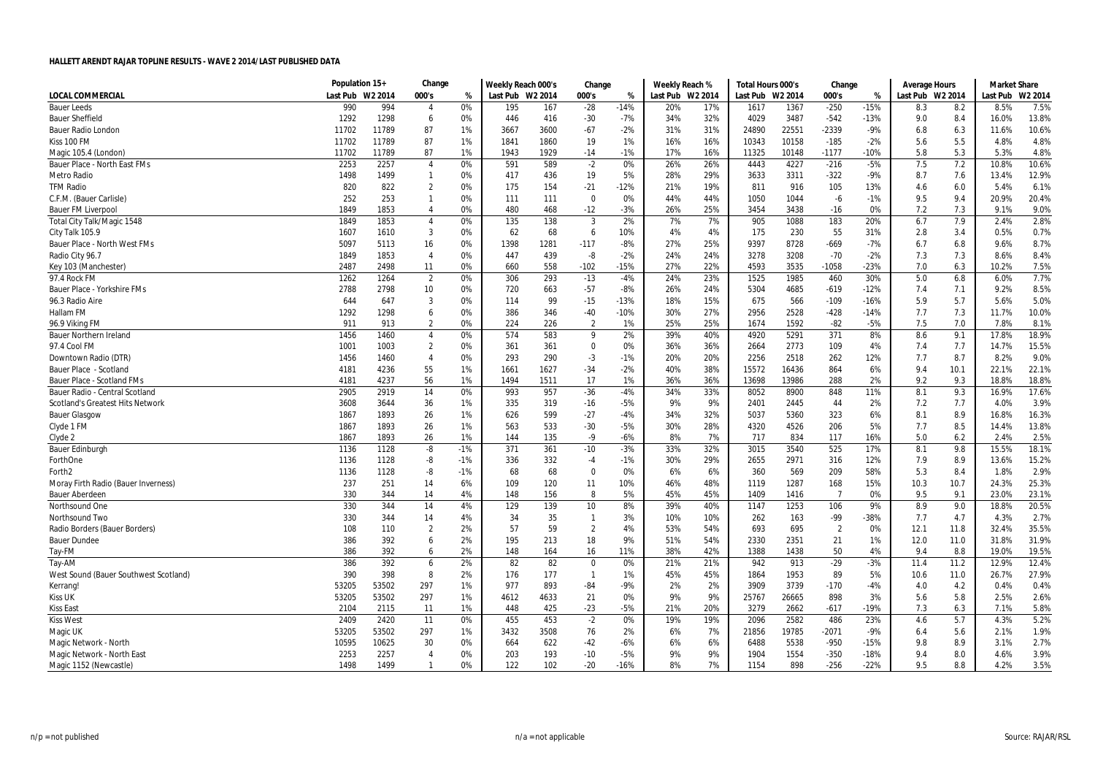|                                         | Population 15+   |       | Change         |       | Weekly Reach 000's |      | Change         |        | Weekly Reach %   |     | Total Hours 000's |         | Change         |        | <b>Average Hours</b> |      | <b>Market Share</b> |         |
|-----------------------------------------|------------------|-------|----------------|-------|--------------------|------|----------------|--------|------------------|-----|-------------------|---------|----------------|--------|----------------------|------|---------------------|---------|
| <b>LOCAL COMMERCIAL</b>                 | Last Pub W2 2014 |       | 000's          | %     | Last Pub W2 2014   |      | 000's          | %      | Last Pub W2 2014 |     | Last Pub          | W2 2014 | 000's          | %      | Last Pub W2 2014     |      | Last Pub            | W2 2014 |
| <b>Bauer Leeds</b>                      | 990              | 994   | $\overline{4}$ | 0%    | 195                | 167  | $-28$          | $-14%$ | 20%              | 17% | 1617              | 1367    | $-250$         | $-15%$ | 8.3                  | 8.2  | 8.5%                | 7.5%    |
| <b>Bauer Sheffield</b>                  | 1292             | 1298  | 6              | 0%    | 446                | 416  | $-30$          | $-7%$  | 34%              | 32% | 4029              | 3487    | $-542$         | $-13%$ | 9.0                  | 8.4  | 16.0%               | 13.8%   |
| <b>Bauer Radio London</b>               | 11702            | 11789 | 87             | 1%    | 3667               | 3600 | $-67$          | $-2%$  | 31%              | 31% | 24890             | 22551   | $-2339$        | $-9%$  | 6.8                  | 6.3  | 11.6%               | 10.6%   |
| Kiss 100 FM                             | 11702            | 11789 | 87             | 1%    | 1841               | 1860 | 19             | 1%     | 16%              | 16% | 10343             | 10158   | $-185$         | $-2%$  | 5.6                  | 5.5  | 4.8%                | 4.8%    |
| Magic 105.4 (London)                    | 11702            | 11789 | 87             | 1%    | 1943               | 1929 | $-14$          | $-1%$  | 17%              | 16% | 11325             | 10148   | $-1177$        | $-10%$ | 5.8                  | 5.3  | 5.3%                | 4.8%    |
| Bauer Place - North East FMs            | 2253             | 2257  | $\overline{4}$ | 0%    | 591                | 589  | $-2$           | 0%     | 26%              | 26% | 4443              | 4227    | $-216$         | $-5%$  | 7.5                  | 7.2  | 10.8%               | 10.6%   |
| <b>Metro Radio</b>                      | 1498             | 1499  | 1              | 0%    | 417                | 436  | 19             | 5%     | 28%              | 29% | 3633              | 3311    | $-322$         | $-9%$  | 8.7                  | 7.6  | 13.4%               | 12.9%   |
| <b>TFM Radio</b>                        | 820              | 822   | $\overline{2}$ | 0%    | 175                | 154  | $-21$          | $-12%$ | 21%              | 19% | 811               | 916     | 105            | 13%    | 4.6                  | 6.0  | 5.4%                | 6.1%    |
| C.F.M. (Bauer Carlisle)                 | 252              | 253   | $\mathbf{1}$   | 0%    | 111                | 111  | 0              | 0%     | 44%              | 44% | 1050              | 1044    | -6             | $-1%$  | 9.5                  | 9.4  | 20.9%               | 20.4%   |
| <b>Bauer FM Liverpool</b>               | 1849             | 1853  | $\overline{4}$ | 0%    | 480                | 468  | $-12$          | $-3%$  | 26%              | 25% | 3454              | 3438    | $-16$          | 0%     | 7.2                  | 7.3  | 9.1%                | 9.0%    |
| Total City Talk/Magic 1548              | 1849             | 1853  | $\overline{4}$ | 0%    | 135                | 138  | 3              | 2%     | 7%               | 7%  | 905               | 1088    | 183            | 20%    | 6.7                  | 7.9  | 2.4%                | 2.8%    |
| City Talk 105.9                         | 1607             | 1610  | 3              | 0%    | 62                 | 68   | 6              | 10%    | 4%               | 4%  | 175               | 230     | 55             | 31%    | 2.8                  | 3.4  | 0.5%                | 0.7%    |
| Bauer Place - North West FMs            | 5097             | 5113  | 16             | 0%    | 1398               | 1281 | $-117$         | $-8%$  | 27%              | 25% | 9397              | 8728    | $-669$         | $-7%$  | 6.7                  | 6.8  | 9.6%                | 8.7%    |
| Radio City 96.7                         | 1849             | 1853  | $\overline{4}$ | 0%    | 447                | 439  | -8             | $-2%$  | 24%              | 24% | 3278              | 3208    | $-70$          | $-2%$  | 7.3                  | 7.3  | 8.6%                | 8.4%    |
| Key 103 (Manchester)                    | 2487             | 2498  | 11             | 0%    | 660                | 558  | $-102$         | $-15%$ | 27%              | 22% | 4593              | 3535    | $-1058$        | $-23%$ | 7.0                  | 6.3  | 10.2%               | 7.5%    |
| 97.4 Rock FM                            | 1262             | 1264  | $\overline{2}$ | 0%    | 306                | 293  | $-13$          | $-4%$  | 24%              | 23% | 1525              | 1985    | 460            | 30%    | 5.0                  | 6.8  | 6.0%                | 7.7%    |
| Bauer Place - Yorkshire FMs             | 2788             | 2798  | 10             | 0%    | 720                | 663  | $-57$          | $-8%$  | 26%              | 24% | 5304              | 4685    | $-619$         | $-12%$ | 7.4                  | 7.1  | 9.2%                | 8.5%    |
| 96.3 Radio Aire                         | 644              | 647   | 3              | 0%    | 114                | 99   | $-15$          | $-13%$ | 18%              | 15% | 675               | 566     | $-109$         | $-16%$ | 5.9                  | 5.7  | 5.6%                | 5.0%    |
| <b>Hallam FM</b>                        | 1292             | 1298  | 6              | 0%    | 386                | 346  | $-40$          | $-10%$ | 30%              | 27% | 2956              | 2528    | $-428$         | $-14%$ | 7.7                  | 7.3  | 11.7%               | 10.0%   |
| 96.9 Viking FM                          | 911              | 913   | $\overline{2}$ | 0%    | 224                | 226  | $\overline{2}$ | 1%     | 25%              | 25% | 1674              | 1592    | $-82$          | $-5%$  | 7.5                  | 7.0  | 7.8%                | 8.1%    |
| <b>Bauer Northern Ireland</b>           | 1456             | 1460  | $\overline{4}$ | 0%    | 574                | 583  | 9              | 2%     | 39%              | 40% | 4920              | 5291    | 371            | 8%     | 8.6                  | 9.1  | 17.8%               | 18.9%   |
| 97.4 Cool FM                            | 1001             | 1003  | $\overline{2}$ | 0%    | 361                | 361  | $\Omega$       | 0%     | 36%              | 36% | 2664              | 2773    | 109            | 4%     | 7.4                  | 7.7  | 14.7%               | 15.5%   |
| Downtown Radio (DTR)                    | 1456             | 1460  | $\overline{4}$ | 0%    | 293                | 290  | $-3$           | $-1%$  | 20%              | 20% | 2256              | 2518    | 262            | 12%    | 7.7                  | 8.7  | 8.2%                | 9.0%    |
| Bauer Place - Scotland                  | 4181             | 4236  | 55             | 1%    | 1661               | 1627 | $-34$          | $-2%$  | 40%              | 38% | 15572             | 16436   | 864            | 6%     | 9.4                  | 10.1 | 22.1%               | 22.1%   |
| Bauer Place - Scotland FMs              | 4181             | 4237  | 56             | 1%    | 1494               | 1511 | 17             | 1%     | 36%              | 36% | 13698             | 13986   | 288            | 2%     | 9.2                  | 9.3  | 18.8%               | 18.8%   |
| Bauer Radio - Central Scotland          | 2905             | 2919  | 14             | 0%    | 993                | 957  | $-36$          | $-4%$  | 34%              | 33% | 8052              | 8900    | 848            | 11%    | 8.1                  | 9.3  | 16.9%               | 17.6%   |
| <b>Scotland's Greatest Hits Network</b> | 3608             | 3644  | 36             | 1%    | 335                | 319  | $-16$          | $-5%$  | 9%               | 9%  | 2401              | 2445    | 44             | 2%     | 7.2                  | 7.7  | 4.0%                | 3.9%    |
| <b>Bauer Glasgow</b>                    | 1867             | 1893  | 26             | 1%    | 626                | 599  | $-27$          | $-4%$  | 34%              | 32% | 5037              | 5360    | 323            | 6%     | 8.1                  | 8.9  | 16.8%               | 16.3%   |
| Clyde 1 FM                              | 1867             | 1893  | 26             | 1%    | 563                | 533  | $-30$          | $-5%$  | 30%              | 28% | 4320              | 4526    | 206            | 5%     | 7.7                  | 8.5  | 14.4%               | 13.8%   |
| Clyde 2                                 | 1867             | 1893  | 26             | 1%    | 144                | 135  | $-9$           | $-6%$  | 8%               | 7%  | 717               | 834     | 117            | 16%    | 5.0                  | 6.2  | 2.4%                | 2.5%    |
| <b>Bauer Edinburgh</b>                  | 1136             | 1128  | -8             | $-1%$ | 371                | 361  | $-10$          | $-3%$  | 33%              | 32% | 3015              | 3540    | 525            | 17%    | 8.1                  | 9.8  | 15.5%               | 18.1%   |
| ForthOne                                | 1136             | 1128  | -8             | $-1%$ | 336                | 332  | $-4$           | $-1%$  | 30%              | 29% | 2655              | 2971    | 316            | 12%    | 7.9                  | 8.9  | 13.6%               | 15.2%   |
| Forth <sub>2</sub>                      | 1136             | 1128  | -8             | $-1%$ | 68                 | 68   | $\mathbf 0$    | 0%     | 6%               | 6%  | 360               | 569     | 209            | 58%    | 5.3                  | 8.4  | 1.8%                | 2.9%    |
| Moray Firth Radio (Bauer Inverness)     | 237              | 251   | 14             | 6%    | 109                | 120  | 11             | 10%    | 46%              | 48% | 1119              | 1287    | 168            | 15%    | 10.3                 | 10.7 | 24.3%               | 25.3%   |
| <b>Bauer Aberdeen</b>                   | 330              | 344   | 14             | 4%    | 148                | 156  | 8              | 5%     | 45%              | 45% | 1409              | 1416    | $\overline{7}$ | 0%     | 9.5                  | 9.1  | 23.0%               | 23.1%   |
| Northsound One                          | 330              | 344   | 14             | 4%    | 129                | 139  | 10             | 8%     | 39%              | 40% | 1147              | 1253    | 106            | 9%     | 8.9                  | 9.0  | 18.8%               | 20.5%   |
| Northsound Two                          | 330              | 344   | 14             | 4%    | 34                 | 35   | $\mathbf{1}$   | 3%     | 10%              | 10% | 262               | 163     | -99            | -38%   | 7.7                  | 4.7  | 4.3%                | 2.7%    |
| Radio Borders (Bauer Borders)           | 108              | 110   | $\overline{2}$ | 2%    | 57                 | 59   | $\overline{2}$ | 4%     | 53%              | 54% | 693               | 695     | $\overline{2}$ | 0%     | 12.1                 | 11.8 | 32.4%               | 35.5%   |
| <b>Bauer Dundee</b>                     | 386              | 392   | 6              | 2%    | 195                | 213  | 18             | 9%     | 51%              | 54% | 2330              | 2351    | 21             | 1%     | 12.0                 | 11.0 | 31.8%               | 31.9%   |
| Tay-FM                                  | 386              | 392   | 6              | 2%    | 148                | 164  | 16             | 11%    | 38%              | 42% | 1388              | 1438    | 50             | 4%     | 9.4                  | 8.8  | 19.0%               | 19.5%   |
| Tay-AM                                  | 386              | 392   | 6              | 2%    | 82                 | 82   | 0              | 0%     | 21%              | 21% | 942               | 913     | $-29$          | $-3%$  | 11.4                 | 11.2 | 12.9%               | 12.4%   |
| West Sound (Bauer Southwest Scotland)   | 390              | 398   | 8              | 2%    | 176                | 177  | $\mathbf{1}$   | 1%     | 45%              | 45% | 1864              | 1953    | 89             | 5%     | 10.6                 | 11.0 | 26.7%               | 27.9%   |
| Kerrang!                                | 53205            | 53502 | 297            | 1%    | 977                | 893  | $-84$          | $-9%$  | 2%               | 2%  | 3909              | 3739    | $-170$         | -4%    | 4.0                  | 4.2  | 0.4%                | 0.4%    |
| <b>Kiss UK</b>                          | 53205            | 53502 | 297            | 1%    | 4612               | 4633 | 21             | 0%     | 9%               | 9%  | 25767             | 26665   | 898            | 3%     | 5.6                  | 5.8  | 2.5%                | 2.6%    |
| <b>Kiss East</b>                        | 2104             | 2115  | 11             | 1%    | 448                | 425  | $-23$          | $-5%$  | 21%              | 20% | 3279              | 2662    | $-617$         | $-19%$ | 7.3                  | 6.3  | 7.1%                | 5.8%    |
| <b>Kiss West</b>                        | 2409             | 2420  | 11             | 0%    | 455                | 453  | $-2$           | 0%     | 19%              | 19% | 2096              | 2582    | 486            | 23%    | 4.6                  | 5.7  | 4.3%                | 5.2%    |
| Magic UK                                | 53205            | 53502 | 297            | 1%    | 3432               | 3508 | 76             | 2%     | 6%               | 7%  | 21856             | 19785   | $-2071$        | $-9%$  | 6.4                  | 5.6  | 2.1%                | 1.9%    |
| Magic Network - North                   | 10595            | 10625 | 30             | 0%    | 664                | 622  | $-42$          | $-6%$  | 6%               | 6%  | 6488              | 5538    | $-950$         | $-15%$ | 9.8                  | 8.9  | 3.1%                | 2.7%    |
| Magic Network - North East              | 2253             | 2257  | $\overline{4}$ | 0%    | 203                | 193  | $-10$          | $-5%$  | 9%               | 9%  | 1904              | 1554    | $-350$         | $-18%$ | 9.4                  | 8.0  | 4.6%                | 3.9%    |
| Magic 1152 (Newcastle)                  | 1498             | 1499  | $\overline{1}$ | 0%    | 122                | 102  | $-20$          | $-16%$ | 8%               | 7%  | 1154              | 898     | $-256$         | $-22%$ | 9.5                  | 8.8  | 4.2%                | 3.5%    |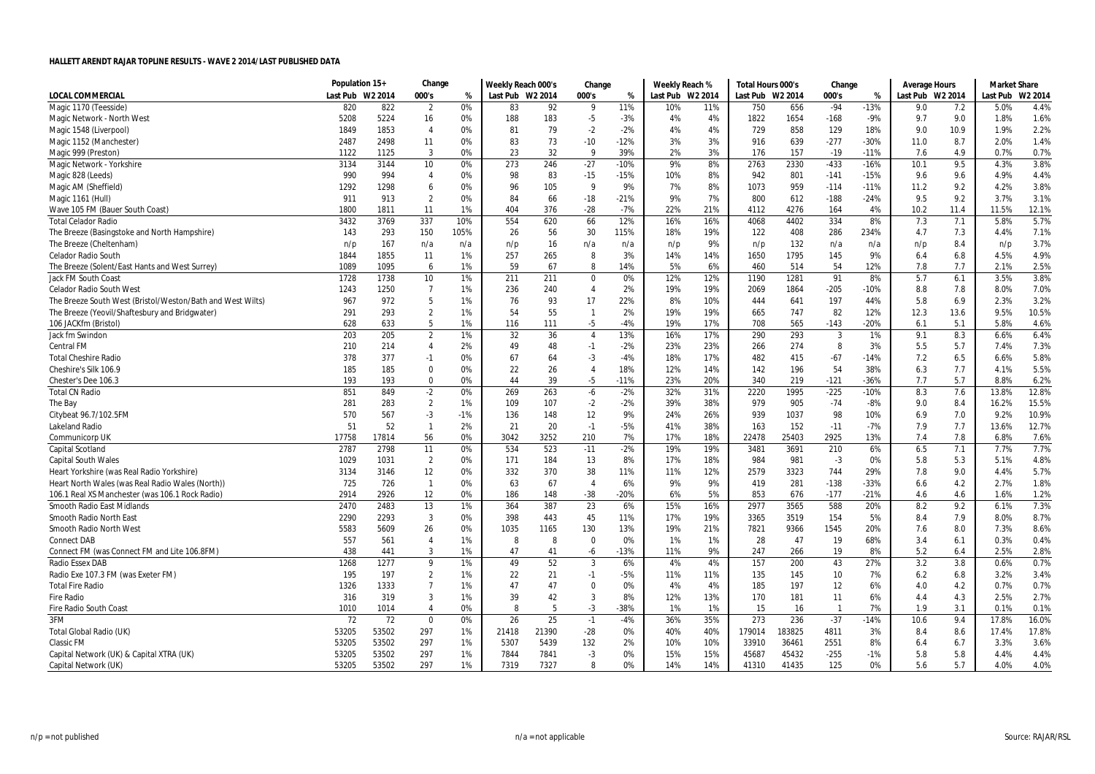|                                                            | Population 15+   |       | Change          |       | Weekly Reach 000's |       | Change         |        | Weekly Reach %   |     | Total Hours 000's |        | Change                  |        | <b>Average Hours</b> |      | <b>Market Share</b> |         |
|------------------------------------------------------------|------------------|-------|-----------------|-------|--------------------|-------|----------------|--------|------------------|-----|-------------------|--------|-------------------------|--------|----------------------|------|---------------------|---------|
| <b>LOCAL COMMERCIAL</b>                                    | Last Pub W2 2014 |       | 000's           | %     | Last Pub W2 2014   |       | 000's          | %      | Last Pub W2 2014 |     | Last Pub W2 2014  |        | 000's                   | %      | Last Pub W2 2014     |      | Last Pub            | W2 2014 |
| Magic 1170 (Teesside)                                      | 820              | 822   | $\overline{2}$  | 0%    | 83                 | 92    | 9              | 11%    | 10%              | 11% | 750               | 656    | $-94$                   | $-13%$ | 9.0                  | 7.2  | 5.0%                | 4.4%    |
| Magic Network - North West                                 | 5208             | 5224  | 16              | 0%    | 188                | 183   | $-5$           | $-3%$  | 4%               | 4%  | 1822              | 1654   | $-168$                  | $-9%$  | 9.7                  | 9.0  | 1.8%                | 1.6%    |
| Magic 1548 (Liverpool)                                     | 1849             | 1853  | $\overline{4}$  | 0%    | 81                 | 79    | $-2$           | $-2%$  | 4%               | 4%  | 729               | 858    | 129                     | 18%    | 9.0                  | 10.9 | 1.9%                | 2.2%    |
| Magic 1152 (Manchester)                                    | 2487             | 2498  | 11              | 0%    | 83                 | 73    | $-10$          | $-12%$ | 3%               | 3%  | 916               | 639    | $-277$                  | $-30%$ | 11.0                 | 8.7  | 2.0%                | 1.4%    |
| Magic 999 (Preston)                                        | 1122             | 1125  | 3               | 0%    | 23                 | 32    | 9              | 39%    | 2%               | 3%  | 176               | 157    | $-19$                   | $-11%$ | 7.6                  | 4.9  | 0.7%                | 0.7%    |
| Magic Network - Yorkshire                                  | 3134             | 3144  | 10              | 0%    | 273                | 246   | $-27$          | $-10%$ | 9%               | 8%  | 2763              | 2330   | $-433$                  | $-16%$ | 10.1                 | 9.5  | 4.3%                | 3.8%    |
| Magic 828 (Leeds)                                          | 990              | 994   | $\overline{4}$  | 0%    | 98                 | 83    | $-15$          | -15%   | 10%              | 8%  | 942               | 801    | $-141$                  | $-15%$ | 9.6                  | 9.6  | 4.9%                | 4.4%    |
| Magic AM (Sheffield)                                       | 1292             | 1298  | 6               | 0%    | 96                 | 105   | 9              | 9%     | 7%               | 8%  | 1073              | 959    | $-114$                  | $-11%$ | 11.2                 | 9.2  | 4.2%                | 3.8%    |
| Magic 1161 (Hull)                                          | 911              | 913   | $\overline{2}$  | 0%    | 84                 | 66    | $-18$          | $-21%$ | 9%               | 7%  | 800               | 612    | $-188$                  | $-24%$ | 9.5                  | 9.2  | 3.7%                | 3.1%    |
| Wave 105 FM (Bauer South Coast)                            | 1800             | 1811  | 11              | 1%    | 404                | 376   | $-28$          | $-7%$  | 22%              | 21% | 4112              | 4276   | 164                     | 4%     | 10.2                 | 11.4 | 11.5%               | 12.1%   |
| <b>Total Celador Radio</b>                                 | 3432             | 3769  | 337             | 10%   | 554                | 620   | 66             | 12%    | 16%              | 16% | 4068              | 4402   | 334                     | 8%     | 7.3                  | 7.1  | 5.8%                | 5.7%    |
| The Breeze (Basingstoke and North Hampshire)               | 143              | 293   | 150             | 105%  | 26                 | 56    | 30             | 115%   | 18%              | 19% | 122               | 408    | 286                     | 234%   | 4.7                  | 7.3  | 4.4%                | 7.1%    |
| The Breeze (Cheltenham)                                    | n/p              | 167   | n/a             | n/a   | n/p                | 16    | n/a            | n/a    | n/p              | 9%  | n/p               | 132    | n/a                     | n/a    | n/p                  | 8.4  | n/p                 | 3.7%    |
| <b>Celador Radio South</b>                                 | 1844             | 1855  | 11              | 1%    | 257                | 265   | 8              | 3%     | 14%              | 14% | 1650              | 1795   | 145                     | 9%     | 6.4                  | 6.8  | 4.5%                | 4.9%    |
| The Breeze (Solent/East Hants and West Surrey)             | 1089             | 1095  | 6               | 1%    | 59                 | 67    | 8              | 14%    | 5%               | 6%  | 460               | 514    | 54                      | 12%    | 7.8                  | 7.7  | 2.1%                | 2.5%    |
| <b>Jack FM South Coast</b>                                 | 1728             | 1738  | 10 <sup>°</sup> | 1%    | 211                | 211   | $\mathbf 0$    | 0%     | 12%              | 12% | 1190              | 1281   | 91                      | 8%     | 5.7                  | 6.1  | 3.5%                | 3.8%    |
| <b>Celador Radio South West</b>                            | 1243             | 1250  | $\overline{7}$  | 1%    | 236                | 240   | 4              | 2%     | 19%              | 19% | 2069              | 1864   | $-205$                  | $-10%$ | 8.8                  | 7.8  | 8.0%                | 7.0%    |
| The Breeze South West (Bristol/Weston/Bath and West Wilts) | 967              | 972   | 5               | 1%    | 76                 | 93    | 17             | 22%    | 8%               | 10% | 444               | 641    | 197                     | 44%    | 5.8                  | 6.9  | 2.3%                | 3.2%    |
|                                                            |                  |       | $\overline{2}$  | 1%    | 54                 | 55    | $\mathbf{1}$   | 2%     | 19%              | 19% |                   | 747    |                         | 12%    |                      |      |                     | 10.5%   |
| The Breeze (Yeovil/Shaftesbury and Bridgwater)             | 291              | 293   | 5               |       |                    |       |                | $-4%$  | 19%              | 17% | 665               |        | 82                      |        | 12.3                 | 13.6 | 9.5%                |         |
| 106 JACKfm (Bristol)                                       | 628              | 633   |                 | 1%    | 116                | 111   | $-5$           |        |                  |     | 708               | 565    | $-143$                  | $-20%$ | 6.1                  | 5.1  | 5.8%                | 4.6%    |
| Jack fm Swindon                                            | 203              | 205   | $\overline{2}$  | 1%    | 32                 | 36    | $\overline{4}$ | 13%    | 16%              | 17% | 290               | 293    | 3                       | 1%     | 9.1                  | 8.3  | 6.6%                | 6.4%    |
| <b>Central FM</b>                                          | 210              | 214   | $\overline{4}$  | 2%    | 49                 | 48    | $-1$           | $-2%$  | 23%              | 23% | 266               | 274    | 8                       | 3%     | 5.5                  | 5.7  | 7.4%                | 7.3%    |
| <b>Total Cheshire Radio</b>                                | 378              | 377   | $-1$            | 0%    | 67                 | 64    | $-3$           | $-4%$  | 18%              | 17% | 482               | 415    | $-67$                   | $-14%$ | 7.2                  | 6.5  | 6.6%                | 5.8%    |
| Cheshire's Silk 106.9                                      | 185              | 185   | $\Omega$        | 0%    | 22                 | 26    | $\overline{4}$ | 18%    | 12%              | 14% | 142               | 196    | 54                      | 38%    | 6.3                  | 7.7  | 4.1%                | 5.5%    |
| Chester's Dee 106.3                                        | 193              | 193   | 0               | 0%    | 44                 | 39    | $-5$           | $-11%$ | 23%              | 20% | 340               | 219    | $-121$                  | $-36%$ | 7.7                  | 5.7  | 8.8%                | 6.2%    |
| <b>Total CN Radio</b>                                      | 851              | 849   | $-2$            | 0%    | 269                | 263   | -6             | $-2%$  | 32%              | 31% | 2220              | 1995   | $-225$                  | $-10%$ | 8.3                  | 7.6  | 13.8%               | 12.8%   |
| The Bay                                                    | 281              | 283   | $\overline{2}$  | 1%    | 109                | 107   | $-2$           | $-2%$  | 39%              | 38% | 979               | 905    | $-74$                   | $-8%$  | 9.0                  | 8.4  | 16.2%               | 15.5%   |
| Citybeat 96.7/102.5FM                                      | 570              | 567   | $-3$            | $-1%$ | 136                | 148   | 12             | 9%     | 24%              | 26% | 939               | 1037   | 98                      | 10%    | 6.9                  | 7.0  | 9.2%                | 10.9%   |
| <b>Lakeland Radio</b>                                      | 51               | 52    | $\overline{1}$  | 2%    | 21                 | 20    | $-1$           | $-5%$  | 41%              | 38% | 163               | 152    | $-11$                   | $-7%$  | 7.9                  | 7.7  | 13.6%               | 12.7%   |
| Communicorp UK                                             | 17758            | 17814 | 56              | 0%    | 3042               | 3252  | 210            | 7%     | 17%              | 18% | 22478             | 25403  | 2925                    | 13%    | 7.4                  | 7.8  | 6.8%                | 7.6%    |
| Capital Scotland                                           | 2787             | 2798  | 11              | 0%    | 534                | 523   | $-11$          | $-2%$  | 19%              | 19% | 3481              | 3691   | 210                     | 6%     | 6.5                  | 7.1  | 7.7%                | 7.7%    |
| <b>Capital South Wales</b>                                 | 1029             | 1031  | $\overline{2}$  | 0%    | 171                | 184   | 13             | 8%     | 17%              | 18% | 984               | 981    | $-3$                    | 0%     | 5.8                  | 5.3  | 5.1%                | 4.8%    |
| Heart Yorkshire (was Real Radio Yorkshire)                 | 3134             | 3146  | 12              | 0%    | 332                | 370   | 38             | 11%    | 11%              | 12% | 2579              | 3323   | 744                     | 29%    | 7.8                  | 9.0  | 4.4%                | 5.7%    |
| Heart North Wales (was Real Radio Wales (North))           | 725              | 726   | $\overline{1}$  | 0%    | 63                 | 67    | $\overline{4}$ | 6%     | 9%               | 9%  | 419               | 281    | $-138$                  | $-33%$ | 6.6                  | 4.2  | 2.7%                | 1.8%    |
| 106.1 Real XS Manchester (was 106.1 Rock Radio)            | 2914             | 2926  | 12              | 0%    | 186                | 148   | $-38$          | $-20%$ | 6%               | 5%  | 853               | 676    | $-177$                  | $-21%$ | 4.6                  | 4.6  | 1.6%                | 1.2%    |
| Smooth Radio East Midlands                                 | 2470             | 2483  | 13              | 1%    | 364                | 387   | 23             | 6%     | 15%              | 16% | 2977              | 3565   | 588                     | 20%    | 8.2                  | 9.2  | 6.1%                | 7.3%    |
| Smooth Radio North East                                    | 2290             | 2293  | $\overline{3}$  | 0%    | 398                | 443   | 45             | 11%    | 17%              | 19% | 3365              | 3519   | 154                     | 5%     | 8.4                  | 7.9  | 8.0%                | 8.7%    |
| Smooth Radio North West                                    | 5583             | 5609  | 26              | 0%    | 1035               | 1165  | 130            | 13%    | 19%              | 21% | 7821              | 9366   | 1545                    | 20%    | 7.6                  | 8.0  | 7.3%                | 8.6%    |
| <b>Connect DAB</b>                                         | 557              | 561   | $\overline{4}$  | 1%    | -8                 | -8    | $\mathbf 0$    | 0%     | 1%               | 1%  | 28                | 47     | 19                      | 68%    | 3.4                  | 6.1  | 0.3%                | 0.4%    |
| Connect FM (was Connect FM and Lite 106.8FM)               | 438              | 441   | 3               | 1%    | 47                 | 41    | -6             | $-13%$ | 11%              | 9%  | 247               | 266    | 19                      | 8%     | 5.2                  | 6.4  | 2.5%                | 2.8%    |
| <b>Radio Essex DAB</b>                                     | 1268             | 1277  | 9               | 1%    | 49                 | 52    | 3              | 6%     | 4%               | 4%  | 157               | 200    | 43                      | 27%    | 3.2                  | 3.8  | 0.6%                | 0.7%    |
| Radio Exe 107.3 FM (was Exeter FM)                         | 195              | 197   | $\overline{2}$  | 1%    | 22                 | 21    | $-1$           | $-5%$  | 11%              | 11% | 135               | 145    | 10                      | 7%     | 6.2                  | 6.8  | 3.2%                | 3.4%    |
| <b>Total Fire Radio</b>                                    | 1326             | 1333  | $\overline{7}$  | 1%    | 47                 | 47    | 0              | 0%     | 4%               | 4%  | 185               | 197    | 12                      | 6%     | 4.0                  | 4.2  | 0.7%                | 0.7%    |
| <b>Fire Radio</b>                                          | 316              | 319   | 3               | 1%    | 39                 | 42    | 3              | 8%     | 12%              | 13% | 170               | 181    | 11                      | 6%     | 4.4                  | 4.3  | 2.5%                | 2.7%    |
| Fire Radio South Coast                                     | 1010             | 1014  | $\overline{4}$  | 0%    | 8                  | 5     | $-3$           | -38%   | 1%               | 1%  | 15                | 16     | $\overline{\mathbf{1}}$ | 7%     | 1.9                  | 3.1  | 0.1%                | 0.1%    |
| 3FM                                                        | 72               | 72    | $\mathbf 0$     | 0%    | 26                 | 25    | $-1$           | $-4%$  | 36%              | 35% | 273               | 236    | $-37$                   | $-14%$ | 10.6                 | 9.4  | 17.8%               | 16.0%   |
| Total Global Radio (UK)                                    | 53205            | 53502 | 297             | 1%    | 21418              | 21390 | $-28$          | 0%     | 40%              | 40% | 179014            | 183825 | 4811                    | 3%     | 8.4                  | 8.6  | 17.4%               | 17.8%   |
| <b>Classic FM</b>                                          | 53205            | 53502 | 297             | 1%    | 5307               | 5439  | 132            | 2%     | 10%              | 10% | 33910             | 36461  | 2551                    | 8%     | 6.4                  | 6.7  | 3.3%                | 3.6%    |
| Capital Network (UK) & Capital XTRA (UK)                   | 53205            | 53502 | 297             | 1%    | 7844               | 7841  | $-3$           | 0%     | 15%              | 15% | 45687             | 45432  | $-255$                  | $-1%$  | 5.8                  | 5.8  | 4.4%                | 4.4%    |
| Capital Network (UK)                                       | 53205            | 53502 | 297             | 1%    | 7319               | 7327  | 8              | 0%     | 14%              | 14% | 41310             | 41435  | 125                     | 0%     | 5.6                  | 5.7  | 4.0%                | 4.0%    |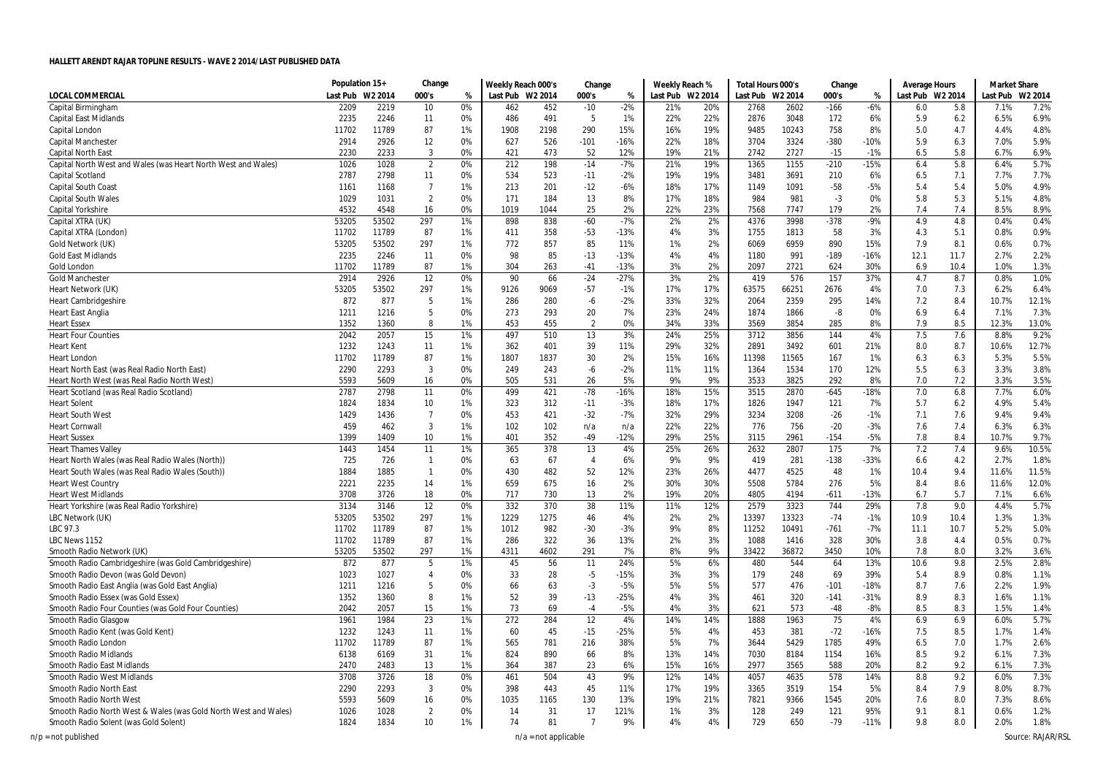|                                                                 | Population 15+ |                | Change         |          | Weekly Reach 000's |             | Change         |             | Weekly Reach % |                     | Total Hours 000's |                | Change      |                | Average Hours    |            | <b>Market Share</b> |                     |
|-----------------------------------------------------------------|----------------|----------------|----------------|----------|--------------------|-------------|----------------|-------------|----------------|---------------------|-------------------|----------------|-------------|----------------|------------------|------------|---------------------|---------------------|
| LOCAL COMMERCIAI                                                | Last Pub       | W2 2014        | 000's          | %        | Last Pub           | W2 2014     | 000's          | %           | Last Pub       | W <sub>2</sub> 2014 | Last Pub W2 2014  |                | 000's       | %              | Last Pub W2 2014 |            | Last Pub            | W <sub>2</sub> 2014 |
| Capital Birmingham                                              | 2209           | 2219           | 10             | 0%       | 462                | 452         | $-10$          | $-2%$       | 21%            | 20%                 | 2768              | 2602           | $-166$      | $-6%$          | 6.0              | 5.8        | 7.1%                | 7.2%                |
| <b>Capital East Midlands</b>                                    | 2235           | 2246           | 11             | 0%       | 486                | 491         | 5              | 1%          | 22%            | 22%                 | 2876              | 3048           | 172         | 6%             | 5.9              | 6.2        | 6.5%                | 6.9%                |
| Capital London                                                  | 11702          | 11789          | 87             | 1%       | 1908               | 2198        | 290            | 15%         | 16%            | 19%                 | 9485              | 10243          | 758         | 8%             | 5.0              | 4.7        | 4.4%                | 4.8%                |
| <b>Capital Manchester</b>                                       | 2914           | 2926           | 12             | 0%       | 627                | 526         | $-101$         | -16%        | 22%            | 18%                 | 3704              | 3324           | $-380$      | $-10%$         | 5.9              | 6.3        | 7.0%                | 5.9%                |
| <b>Capital North East</b>                                       | 2230           | 2233           | 3              | 0%       | 421                | 473         | 52             | 12%         | 19%            | 21%                 | 2742              | 2727           | $-15$       | $-1%$          | 6.5              | 5.8        | 6.7%                | 6.9%                |
| Capital North West and Wales (was Heart North West and Wales)   | 1026           | 1028           | $\overline{2}$ | 0%       | 212                | 198         | $-14$          | $-7%$       | 21%            | 19%                 | 1365              | 1155           | $-210$      | $-15%$         | 6.4              | 5.8        | 6.4%                | 5.7%                |
| Capital Scotland                                                | 2787           | 2798           | 11             | 0%       | 534                | 523         | $-11$          | $-2%$       | 19%            | 19%                 | 3481              | 3691           | 210         | 6%             | 6.5              | 7.1        | 7.7%                | 7.7%                |
| <b>Capital South Coast</b>                                      | 1161           | 1168           | $\overline{7}$ | 1%       | 213                | 201         | $-12$          | $-6%$       | 18%            | 17%                 | 1149              | 1091           | $-58$       | $-5%$          | 5.4              | 5.4        | 5.0%                | 4.9%                |
| <b>Capital South Wales</b>                                      | 1029           | 1031           | $\overline{2}$ | 0%       | 171                | 184         | 13             | 8%          | 17%            | 18%                 | 984               | 981            | $-3$        | 0%             | 5.8              | 5.3        | 5.1%                | 4.8%                |
| Capital Yorkshire                                               | 4532           | 4548           | 16             | 0%       | 1019               | 1044        | 25             | 2%          | 22%            | 23%                 | 7568              | 7747           | 179         | 2%             | 7.4              | 7.4        | 8.5%                | 8.9%                |
| Capital XTRA (UK)                                               | 53205          | 53502          | 297            | 1%       | 898                | 838         | $-60$          | $-7%$       | 2%             | 2%                  | 4376              | 3998           | $-378$      | $-9%$          | 4.9              | 4.8        | 0.4%                | 0.4%                |
| Capital XTRA (London)                                           | 11702          | 11789          | 87             | 1%       | 411                | 358         | $-53$          | $-13%$      | 4%             | 3%                  | 1755              | 1813           | 58          | 3%             | 4.3              | 5.1        | 0.8%                | 0.9%                |
| Gold Network (UK)                                               | 53205          | 53502          | 297            | 1%       | 772                | 857         | 85             | 11%         | 1%             | 2%                  | 6069              | 6959           | 890         | 15%            | 7.9              | 8.1        | 0.6%                | 0.7%                |
| <b>Gold East Midlands</b>                                       | 2235           | 2246           | 11             | 0%       | 98                 | 85          | $-13$          | $-13%$      | 4%             | 4%                  | 1180              | 991            | $-189$      | $-16%$         | 12.1             | 11.7       | 2.7%                | 2.2%                |
| Gold London                                                     | 11702          | 11789          | 87             | 1%       | 304                | 263         | $-41$          | $-13%$      | 3%             | 2%                  | 2097              | 2721           | 624         | 30%            | 6.9              | 10.4       | 1.0%                | 1.3%                |
| <b>Gold Manchester</b>                                          | 2914           | 2926           | 12             | 0%       | 90                 | 66          | $-24$          | $-27%$      | 3%             | 2%                  | 419               | 576            | 157         | 37%            | 4.7              | 8.7        | 0.8%                | 1.0%                |
| Heart Network (UK)                                              | 53205          | 53502          | 297            | 1%       | 9126               | 9069        | $-57$          | $-1%$       | 17%            | 17%                 | 63575             | 66251          | 2676        | 4%             | 7.0              | 7.3        | 6.2%                | 6.4%                |
| <b>Heart Cambridgeshire</b>                                     | 872            | 877            | 5              | 1%       | 286                | 280         | -6             | $-2%$       | 33%            | 32%                 | 2064              | 2359           | 295         | 14%            | 7.2              | 8.4        | 10.7%               | 12.1%               |
| <b>Heart East Anglia</b>                                        | 1211           | 1216           | 5              | 0%       | 273                | 293         | 20             | 7%          | 23%            | 24%                 | 1874              | 1866           | $-8$        | 0%             | 6.9              | 6.4        | 7.1%                | 7.3%                |
| <b>Heart Essex</b>                                              | 1352           | 1360           | 8              | 1%       | 453                | 455         | 2              | 0%          | 34%            | 33%                 | 3569              | 3854           | 285         | 8%             | 7.9              | 8.5        | 12.3%               | 13.0%               |
| <b>Heart Four Counties</b>                                      | 2042           | 2057           | 15             | 1%       | 497                | 510         | 13             | 3%          | 24%            | 25%                 | 3712              | 3856           | 144         | 4%             | 7.5              | 7.6        | 8.8%                | 9.2%                |
| <b>Heart Kent</b>                                               | 1232           | 1243           | 11             | 1%       | 362                | 401         | 39             | 11%         | 29%            | 32%                 | 2891              | 3492           | 601         | 21%            | 8.0              | 8.7        | 10.6%               | 12.7%               |
| <b>Heart Londor</b>                                             | 11702          | 11789          | 87             | 1%       | 1807               | 1837        | 30             | 2%          | 15%            | 16%                 | 11398             | 11565          | 167         | 1%             | 6.3              | 6.3        | 5.3%                | 5.5%                |
| Heart North East (was Real Radio North East)                    | 2290           | 2293           | $\overline{3}$ | 0%       | 249                | 243         | -6             | $-2%$       | 11%            | 11%                 | 1364              | 1534           | 170         | 12%            | 5.5              | 6.3        | 3.3%                | 3.8%                |
| Heart North West (was Real Radio North West)                    | 5593           | 5609           | 16             | 0%       | 505                | 531         | 26             | 5%          | 9%             | 9%                  | 3533              | 3825           | 292         | 8%             | 7.0              | 7.2        | 3.3%                | 3.5%                |
| Heart Scotland (was Real Radio Scotland)                        | 2787           | 2798           | 11             | 0%       | 499                | 421         | $-78$          | -16%        | 18%            | 15%                 | 3515              | 2870           | $-645$      | $-18%$         | 7.0              | 6.8        | 7.7%                | 6.0%                |
| <b>Heart Solent</b>                                             | 1824           | 1834           | 10             | 1%       | 323                | 312         | $-11$          | $-3%$       | 18%            | 17%                 | 1826              | 1947           | 121         | 7%             | 5.7              | 6.2        | 4.9%                | 5.4%                |
| <b>Heart South West</b>                                         | 1429           | 1436           | $\overline{7}$ | 0%       | 453                | 421         | $-32$          | $-7%$       | 32%            | 29%                 | 3234              | 3208           | $-26$       | $-1%$          | 7.1              | 7.6        | 9.4%                | 9.4%                |
| <b>Heart Cornwall</b>                                           | 459            | 462            | 3              | 1%       | 102                | 102         | n/a            | n/a         | 22%            | 22%                 | 776               | 756            | $-20$       | $-3%$          | 7.6              | 7.4        | 6.3%                | 6.3%                |
| <b>Heart Sussex</b>                                             | 1399           | 1409           | 10             | 1%       | 401                | 352         | -49            | $-12%$      | 29%            | 25%                 | 3115              | 2961           | $-154$      | $-5%$          | 7.8              | 8.4        | 10.7%               | 9.7%                |
| <b>Heart Thames Valley</b>                                      | 1443           | 1454           | 11             | 1%       | 365                | 378         | 13             | 4%          | 25%            | 26%                 | 2632              | 2807           | 175         | 7%             | 7.2              | 7.4        | 9.6%                | 10.5%               |
| Heart North Wales (was Real Radio Wales (North))                | 725            | 726            | $\overline{1}$ | 0%       | 63                 | 67          | $\overline{4}$ | 6%          | 9%             | 9%                  | 419               | 281            | $-138$      | $-33%$         | 6.6              | 4.2        | 2.7%                | 1.8%                |
| Heart South Wales (was Real Radio Wales (South))                | 1884           | 1885           | $\overline{1}$ | 0%       | 430                | 482         | 52             | 12%         | 23%            | 26%                 | 4477              | 4525<br>5784   | 48          | 1%             | 10.4             | 9.4        | 11.6%               | 11.5%               |
| <b>Heart West Country</b>                                       | 2221           | 2235           | 14             | 1%       | 659                | 675         | 16             | 2%          | 30%            | 30%                 | 5508              |                | 276         | 5%             | 8.4              | 8.6        | 11.6%               | 12.0%               |
| <b>Heart West Midlands</b>                                      | 3708           | 3726           | 18             | 0%       | 717                | 730         | 13             | 2%          | 19%            | 20%                 | 4805              | 4194           | $-611$      | $-13%$<br>29%  | 6.7              | 5.7        | 7.1%                | 6.6%                |
| Heart Yorkshire (was Real Radio Yorkshire)                      | 3134           | 3146           | 12             | 0%       | 332                | 370         | 38             | 11%         | 11%            | 12%                 | 2579              | 3323           | 744         |                | 7.8              | 9.0        | 4.4%                | 5.7%                |
| LBC Network (UK)                                                | 53205          | 53502          | 297            | 1%       | 1229               | 1275<br>982 | 46             | 4%<br>$-3%$ | 2%<br>9%       | 2%<br>8%            | 13397             | 13323<br>10491 | $-74$       | $-1%$<br>$-7%$ | 10.9             | 10.4       | 1.3%                | 1.3%<br>5.0%        |
| LBC 97.3<br>LBC News 1152                                       | 11702<br>11702 | 11789<br>11789 | 87             | 1%<br>1% | 1012               |             | $-30$<br>36    | 13%         | 2%             |                     | 11252<br>1088     | 1416           | $-761$      | 30%            | 11.1<br>3.8      | 10.7       | 5.2%<br>0.5%        | 0.7%                |
| Smooth Radio Network (UK)                                       | 53205          | 53502          | 87<br>297      | 1%       | 286<br>4311        | 322<br>4602 | 291            | 7%          | 8%             | 3%<br>9%            | 33422             | 36872          | 328<br>3450 | 10%            | 7.8              | 4.4<br>8.0 | 3.2%                | 3.6%                |
| Smooth Radio Cambridgeshire (was Gold Cambridgeshire)           | 872            | 877            | 5              | 1%       | 45                 | 56          | 11             | 24%         | 5%             | 6%                  | 480               | 544            | 64          | 13%            | 10.6             | 9.8        | 2.5%                | 2.8%                |
| Smooth Radio Devon (was Gold Devon)                             | 1023           | 1027           | $\overline{4}$ | 0%       | 33                 | 28          | $-5$           | -15%        | 3%             | 3%                  | 179               | 248            | 69          | 39%            | 5.4              | 8.9        | 0.8%                | 1.1%                |
| Smooth Radio East Anglia (was Gold East Anglia)                 | 1211           | 1216           | 5              | 0%       | 66                 | 63          | $-3$           | $-5%$       | 5%             | 5%                  | 577               | 476            | $-101$      | $-18%$         | 8.7              | 7.6        | 2.2%                | 1.9%                |
| Smooth Radio Essex (was Gold Essex)                             | 1352           | 1360           | 8              | 1%       | 52                 | 39          | $-13$          | $-25%$      | 4%             | 3%                  | 461               | 320            | $-141$      | $-31%$         | 8.9              | 8.3        | 1.6%                | 1.1%                |
| Smooth Radio Four Counties (was Gold Four Counties)             | 2042           | 2057           | 15             | 1%       | 73                 | 69          | $-4$           | $-5%$       | 4%             | 3%                  | 621               | 573            | $-48$       | $-8%$          | 8.5              | 8.3        | 1.5%                | 1.4%                |
| Smooth Radio Glasgow                                            | 1961           | 1984           | 23             | 1%       | 272                | 284         | 12             | 4%          | 14%            | 14%                 | 1888              | 1963           | 75          | 4%             | 6.9              | 6.9        | 6.0%                | 5.7%                |
| Smooth Radio Kent (was Gold Kent)                               | 1232           | 1243           | 11             | 1%       | 60                 | 45          | $-15$          | $-25%$      | 5%             | 4%                  | 453               | 381            | $-72$       | $-16%$         | 7.5              | 8.5        | 1.7%                | 1.4%                |
| Smooth Radio London                                             | 11702          | 11789          | 87             | 1%       | 565                | 781         | 216            | 38%         | 5%             | 7%                  | 3644              | 5429           | 1785        | 49%            | 6.5              | 7.0        | 1.7%                | 2.6%                |
| Smooth Radio Midlands                                           | 6138           | 6169           | 31             | 1%       | 824                | 890         | 66             | 8%          | 13%            | 14%                 | 7030              | 8184           | 1154        | 16%            | 8.5              | 9.2        | 6.1%                | 7.3%                |
| Smooth Radio East Midlands                                      | 2470           | 2483           | 13             | 1%       | 364                | 387         | 23             | 6%          | 15%            | 16%                 | 2977              | 3565           | 588         | 20%            | 8.2              | 9.2        | 6.1%                | 7.3%                |
| Smooth Radio West Midlands                                      | 3708           | 3726           | 18             | 0%       | 461                | 504         | 43             | 9%          | 12%            | 14%                 | 4057              | 4635           | 578         | 14%            | 8.8              | 9.2        | 6.0%                | 7.3%                |
| Smooth Radio North East                                         | 2290           | 2293           | 3              | 0%       | 398                | 443         | 45             | 11%         | 17%            | 19%                 | 3365              | 3519           | 154         | 5%             | 8.4              | 7.9        | 8.0%                | 8.7%                |
| Smooth Radio North West                                         | 5593           | 5609           | 16             | 0%       | 1035               | 1165        | 130            | 13%         | 19%            | 21%                 | 7821              | 9366           | 1545        | 20%            | 7.6              | 8.0        | 7.3%                | 8.6%                |
| Smooth Radio North West & Wales (was Gold North West and Wales) | 1026           | 1028           | $\overline{2}$ | 0%       | 14                 | 31          | 17             | 121%        | 1%             | 3%                  | 128               | 249            | 121         | 95%            | 9.1              | 8.1        | 0.6%                | 1.2%                |
| Smooth Radio Solent (was Gold Solent)                           | 1824           | 1834           | 10             | 1%       | 74                 | 81          | $\overline{7}$ | 9%          | 4%             | 4%                  | 729               | 650            | $-79$       | $-11%$         | 9.8              | 8.0        | 2.0%                | 1.8%                |
|                                                                 |                |                |                |          |                    |             |                |             |                |                     |                   |                |             |                |                  |            |                     |                     |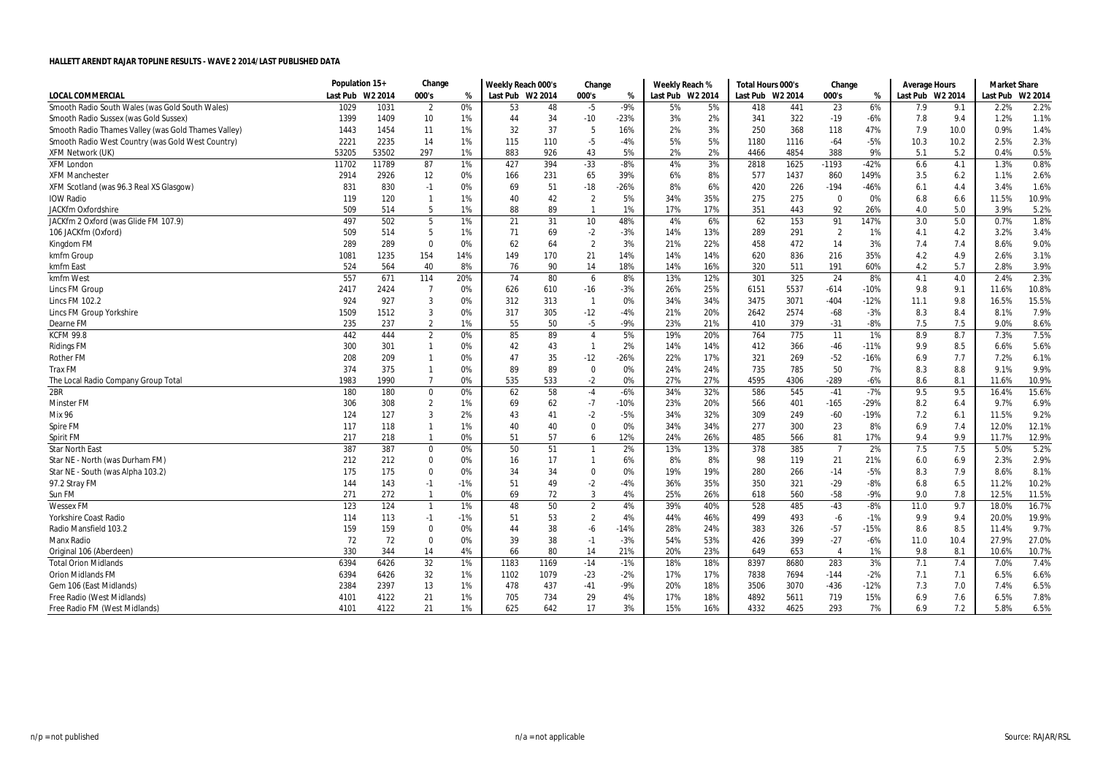|                                                     | Population 15+ |         | Change         |       | Weekly Reach 000's |      | Change         |        | Weekly Reach %   |     | Total Hours 000's |      | Change         |        | Average Hours    |         | <b>Market Share</b> |         |
|-----------------------------------------------------|----------------|---------|----------------|-------|--------------------|------|----------------|--------|------------------|-----|-------------------|------|----------------|--------|------------------|---------|---------------------|---------|
| <b>LOCAL COMMERCIAL</b>                             | Last Pub       | W2 2014 | 000's          | %     | Last Pub W2 2014   |      | 000's          | %      | Last Pub W2 2014 |     | Last Pub W2 2014  |      | 000's          | %      | Last Pub W2 2014 |         | Last Pub            | W2 2014 |
| Smooth Radio South Wales (was Gold South Wales)     | 1029           | 1031    | 2              | 0%    | 53                 | 48   | -5             | -9%    | 5%               | 5%  | 418               | 441  | 23             | 6%     | 7.9              | 9.1     | 2.2%                | 2.2%    |
| Smooth Radio Sussex (was Gold Sussex)               | 1399           | 1409    | 10             | 1%    | 44                 | 34   | $-10$          | $-23%$ | 3%               | 2%  | 341               | 322  | $-19$          | $-6%$  | 7.8              | 9.4     | 1.2%                | 1.1%    |
| Smooth Radio Thames Valley (was Gold Thames Valley) | 1443           | 1454    | 11             | 1%    | 32                 | 37   | 5              | 16%    | 2%               | 3%  | 250               | 368  | 118            | 47%    | 7.9              | 10.0    | 0.9%                | 1.4%    |
| Smooth Radio West Country (was Gold West Country)   | 2221           | 2235    | 14             | 1%    | 115                | 110  | $-5$           | $-4%$  | 5%               | 5%  | 1180              | 1116 | $-64$          | $-5%$  | 10.3             | 10.2    | 2.5%                | 2.3%    |
| <b>XFM Network (UK)</b>                             | 53205          | 53502   | 297            | 1%    | 883                | 926  | 43             | 5%     | 2%               | 2%  | 4466              | 4854 | 388            | 9%     | 5.1              | 5.2     | 0.4%                | 0.5%    |
| <b>XFM London</b>                                   | 11702          | 11789   | 87             | 1%    | 427                | 394  | $-33$          | $-8%$  | 4%               | 3%  | 2818              | 1625 | $-1193$        | $-42%$ | 6.6              | 4.1     | 1.3%                | 0.8%    |
| <b>XFM Manchester</b>                               | 2914           | 2926    | 12             | 0%    | 166                | 231  | 65             | 39%    | 6%               | 8%  | 577               | 1437 | 860            | 149%   | 3.5              | 6.2     | 1.1%                | 2.6%    |
| XFM Scotland (was 96.3 Real XS Glasgow)             | 831            | 830     | $-1$           | 0%    | 69                 | 51   | $-18$          | $-26%$ | 8%               | 6%  | 420               | 226  | $-194$         | $-46%$ | 6.1              | 4.4     | 3.4%                | 1.6%    |
| <b>IOW Radio</b>                                    | 119            | 120     | $\mathbf{1}$   | 1%    | 40                 | 42   | $\overline{2}$ | 5%     | 34%              | 35% | 275               | 275  | $\Omega$       | 0%     | 6.8              | 6.6     | 11.5%               | 10.9%   |
| JACKfm Oxfordshire                                  | 509            | 514     | -5             | 1%    | 88                 | 89   | $\overline{1}$ | 1%     | 17%              | 17% | 351               | 443  | 92             | 26%    | 4.0              | 5.0     | 3.9%                | 5.2%    |
| JACKfm 2 Oxford (was Glide FM 107.9)                | 497            | 502     | 5              | 1%    | 21                 | 31   | 10             | 48%    | 4%               | 6%  | 62                | 153  | 91             | 147%   | 3.0              | $5.0\,$ | 0.7%                | 1.8%    |
| 106 JACKfm (Oxford)                                 | 509            | 514     | 5              | 1%    | 71                 | 69   | $-2$           | $-3%$  | 14%              | 13% | 289               | 291  | $\overline{2}$ | 1%     | 4.1              | 4.2     | 3.2%                | 3.4%    |
| Kingdom FM                                          | 289            | 289     | $\mathbf 0$    | 0%    | 62                 | 64   | $\overline{2}$ | 3%     | 21%              | 22% | 458               | 472  | 14             | 3%     | 7.4              | 7.4     | 8.6%                | 9.0%    |
| kmfm Group                                          | 1081           | 1235    | 154            | 14%   | 149                | 170  | 21             | 14%    | 14%              | 14% | 620               | 836  | 216            | 35%    | 4.2              | 4.9     | 2.6%                | 3.1%    |
| kmfm East                                           | 524            | 564     | 40             | 8%    | 76                 | 90   | 14             | 18%    | 14%              | 16% | 320               | 511  | 191            | 60%    | 4.2              | 5.7     | 2.8%                | 3.9%    |
| kmfm West                                           | 557            | 671     | 114            | 20%   | 74                 | 80   | 6              | 8%     | 13%              | 12% | 301               | 325  | 24             | 8%     | 4.1              | $4.0\,$ | 2.4%                | 2.3%    |
| Lincs FM Group                                      | 2417           | 2424    | $\overline{7}$ | 0%    | 626                | 610  | $-16$          | $-3%$  | 26%              | 25% | 6151              | 5537 | $-614$         | $-10%$ | 9.8              | 9.1     | 11.6%               | 10.8%   |
| Lincs FM 102.2                                      | 924            | 927     | 3              | 0%    | 312                | 313  | $\overline{1}$ | 0%     | 34%              | 34% | 3475              | 3071 | $-404$         | $-12%$ | 11.1             | 9.8     | 16.5%               | 15.5%   |
| <b>Lincs FM Group Yorkshire</b>                     | 1509           | 1512    | $\overline{3}$ | 0%    | 317                | 305  | $-12$          | $-4%$  | 21%              | 20% | 2642              | 2574 | $-68$          | $-3%$  | 8.3              | 8.4     | 8.1%                | 7.9%    |
| Dearne FM                                           | 235            | 237     | $\overline{2}$ | 1%    | 55                 | 50   | $-5$           | $-9%$  | 23%              | 21% | 410               | 379  | $-31$          | $-8%$  | 7.5              | 7.5     | 9.0%                | 8.6%    |
| <b>KCFM 99.8</b>                                    | 442            | 444     | $\overline{2}$ | 0%    | 85                 | 89   | $\overline{4}$ | 5%     | 19%              | 20% | 764               | 775  | 11             | 1%     | 8.9              | 8.7     | 7.3%                | 7.5%    |
| <b>Ridings FM</b>                                   | 300            | 301     | $\mathbf{1}$   | 0%    | 42                 | 43   | $\overline{1}$ | 2%     | 14%              | 14% | 412               | 366  | $-46$          | $-11%$ | 9.9              | 8.5     | 6.6%                | 5.6%    |
| Rother FM                                           | 208            | 209     | $\overline{1}$ | 0%    | 47                 | 35   | $-12$          | $-26%$ | 22%              | 17% | 321               | 269  | $-52$          | $-16%$ | 6.9              | 7.7     | 7.2%                | 6.1%    |
| <b>Trax FM</b>                                      | 374            | 375     | $\overline{1}$ | 0%    | 89                 | 89   | 0              | 0%     | 24%              | 24% | 735               | 785  | 50             | 7%     | 8.3              | 8.8     | 9.1%                | 9.9%    |
| The Local Radio Company Group Total                 | 1983           | 1990    | $\overline{7}$ | 0%    | 535                | 533  | $-2$           | 0%     | 27%              | 27% | 4595              | 4306 | $-289$         | $-6%$  | 8.6              | 8.1     | 11.6%               | 10.9%   |
| 2BR                                                 | 180            | 180     | $\mathbf 0$    | 0%    | 62                 | 58   | $-4$           | $-6%$  | 34%              | 32% | 586               | 545  | $-41$          | $-7%$  | 9.5              | 9.5     | 16.4%               | 15.6%   |
| <b>Minster FM</b>                                   | 306            | 308     | $\overline{2}$ | 1%    | 69                 | 62   | $-7$           | -10%   | 23%              | 20% | 566               | 401  | $-165$         | $-29%$ | 8.2              | 6.4     | 9.7%                | 6.9%    |
| Mix 96                                              | 124            | 127     | 3              | 2%    | 43                 | 41   | $-2$           | $-5%$  | 34%              | 32% | 309               | 249  | $-60$          | $-19%$ | 7.2              | 6.1     | 11.5%               | 9.2%    |
| Spire FM                                            | 117            | 118     | $\mathbf{1}$   | 1%    | 40                 | 40   | 0              | 0%     | 34%              | 34% | 277               | 300  | 23             | 8%     | 6.9              | 7.4     | 12.0%               | 12.1%   |
| Spirit FM                                           | 217            | 218     | $\overline{1}$ | 0%    | 51                 | 57   | 6              | 12%    | 24%              | 26% | 485               | 566  | 81             | 17%    | 9.4              | 9.9     | 11.7%               | 12.9%   |
| <b>Star North East</b>                              | 387            | 387     | $\mathbf 0$    | 0%    | 50                 | 51   | $\mathbf{1}$   | 2%     | 13%              | 13% | 378               | 385  | $\overline{7}$ | 2%     | 7.5              | 7.5     | 5.0%                | 5.2%    |
| Star NE - North (was Durham FM)                     | 212            | 212     | $\mathbf 0$    | 0%    | 16                 | 17   | $\mathbf{1}$   | 6%     | 8%               | 8%  | 98                | 119  | 21             | 21%    | 6.0              | 6.9     | 2.3%                | 2.9%    |
| Star NE - South (was Alpha 103.2)                   | 175            | 175     | $\mathbf{0}$   | 0%    | 34                 | 34   | $\mathbf 0$    | 0%     | 19%              | 19% | 280               | 266  | $-14$          | $-5%$  | 8.3              | 7.9     | 8.6%                | 8.1%    |
| 97.2 Stray FM                                       | 144            | 143     | $-1$           | $-1%$ | 51                 | 49   | $-2$           | $-4%$  | 36%              | 35% | 350               | 321  | $-29$          | $-8%$  | 6.8              | 6.5     | 11.2%               | 10.2%   |
| Sun FM                                              | 271            | 272     | $\overline{1}$ | 0%    | 69                 | 72   | 3              | 4%     | 25%              | 26% | 618               | 560  | $-58$          | $-9%$  | 9.0              | 7.8     | 12.5%               | 11.5%   |
| <b>Wessex FM</b>                                    | 123            | 124     | $\overline{1}$ | $1\%$ | 48                 | 50   | $\overline{2}$ | 4%     | 39%              | 40% | 528               | 485  | $-43$          | $-8%$  | 11.0             | 9.7     | 18.0%               | 16.7%   |
| Yorkshire Coast Radio                               | 114            | 113     | $-1$           | $-1%$ | 51                 | 53   | $\overline{2}$ | 4%     | 44%              | 46% | 499               | 493  | $-6$           | $-1%$  | 9.9              | 9.4     | 20.0%               | 19.9%   |
| Radio Mansfield 103.2                               | 159            | 159     | $\mathbf 0$    | 0%    | 44                 | 38   | -6             | $-14%$ | 28%              | 24% | 383               | 326  | $-57$          | $-15%$ | 8.6              | 8.5     | 11.4%               | 9.7%    |
| <b>Manx Radio</b>                                   | 72             | 72      | $\mathbf 0$    | 0%    | 39                 | 38   | $-1$           | $-3%$  | 54%              | 53% | 426               | 399  | $-27$          | $-6%$  | 11.0             | 10.4    | 27.9%               | 27.0%   |
| Original 106 (Aberdeen)                             | 330            | 344     | 14             | 4%    | 66                 | 80   | 14             | 21%    | 20%              | 23% | 649               | 653  | $\overline{4}$ | 1%     | 9.8              | 8.1     | 10.6%               | 10.7%   |
| <b>Total Orion Midlands</b>                         | 6394           | 6426    | 32             | 1%    | 1183               | 1169 | $-14$          | $-1%$  | 18%              | 18% | 8397              | 8680 | 283            | 3%     | 7.1              | 7.4     | 7.0%                | 7.4%    |
| <b>Orion Midlands FM</b>                            | 6394           | 6426    | 32             | $1\%$ | 1102               | 1079 | $-23$          | $-2%$  | 17%              | 17% | 7838              | 7694 | $-144$         | $-2%$  | 7.1              | 7.1     | 6.5%                | 6.6%    |
| Gem 106 (East Midlands)                             | 2384           | 2397    | 13             | 1%    | 478                | 437  | $-41$          | $-9%$  | 20%              | 18% | 3506              | 3070 | $-436$         | $-12%$ | 7.3              | 7.0     | 7.4%                | 6.5%    |
| Free Radio (West Midlands)                          | 4101           | 4122    | 21             | 1%    | 705                | 734  | 29             | 4%     | 17%              | 18% | 4892              | 5611 | 719            | 15%    | 6.9              | 7.6     | 6.5%                | 7.8%    |
| Free Radio FM (West Midlands)                       | 4101           | 4122    | 21             | 1%    | 625                | 642  | 17             | 3%     | 15%              | 16% | 4332              | 4625 | 293            | 7%     | 6.9              | 7.2     | 5.8%                | 6.5%    |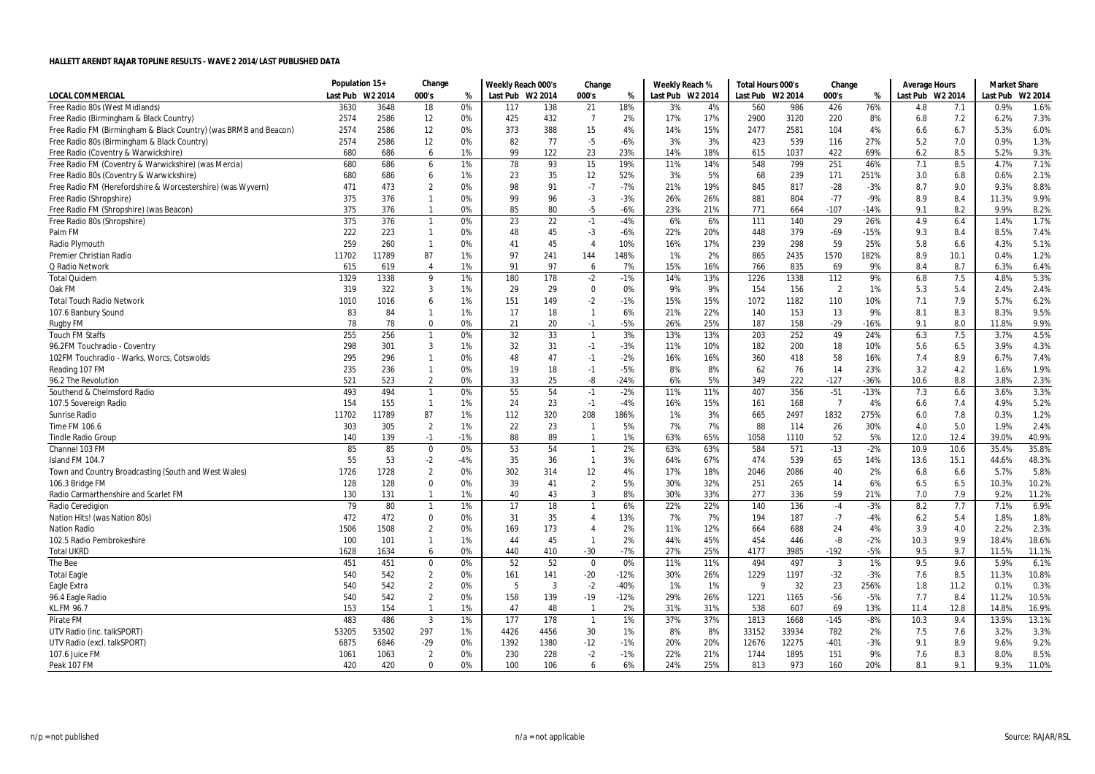|                                                                  | Population 15+ |         | Change         |       | Weekly Reach 000's |      | Change         |        | Weekly Reach %   |     | Total Hours 000's |       | Change         |        | Average Hours    |      | <b>Market Share</b> |         |
|------------------------------------------------------------------|----------------|---------|----------------|-------|--------------------|------|----------------|--------|------------------|-----|-------------------|-------|----------------|--------|------------------|------|---------------------|---------|
| <b>LOCAL COMMERCIAL</b>                                          | Last Pub       | W2 2014 | 000's          | %     | Last Pub W2 2014   |      | 000's          | %      | Last Pub W2 2014 |     | Last Pub W2 2014  |       | 000's          | %      | Last Pub W2 2014 |      | Last Pub            | W2 2014 |
| Free Radio 80s (West Midlands)                                   | 3630           | 3648    | 18             | 0%    | 117                | 138  | 21             | 18%    | 3%               | 4%  | 560               | 986   | 426            | 76%    | 4.8              | 7.1  | 0.9%                | 1.6%    |
| Free Radio (Birmingham & Black Country)                          | 2574           | 2586    | 12             | 0%    | 425                | 432  | $\overline{7}$ | 2%     | 17%              | 17% | 2900              | 3120  | 220            | 8%     | 6.8              | 7.2  | 6.2%                | 7.3%    |
| Free Radio FM (Birmingham & Black Country) (was BRMB and Beacon) | 2574           | 2586    | 12             | 0%    | 373                | 388  | 15             | 4%     | 14%              | 15% | 2477              | 2581  | 104            | 4%     | 6.6              | 6.7  | 5.3%                | 6.0%    |
| Free Radio 80s (Birmingham & Black Country)                      | 2574           | 2586    | 12             | 0%    | 82                 | 77   | $-5$           | $-6%$  | 3%               | 3%  | 423               | 539   | 116            | 27%    | 5.2              | 7.0  | 0.9%                | 1.3%    |
| Free Radio (Coventry & Warwickshire)                             | 680            | 686     | 6              | 1%    | 99                 | 122  | 23             | 23%    | 14%              | 18% | 615               | 1037  | 422            | 69%    | 6.2              | 8.5  | 5.2%                | 9.3%    |
| Free Radio FM (Coventry & Warwickshire) (was Mercia)             | 680            | 686     | 6              | 1%    | 78                 | 93   | 15             | 19%    | 11%              | 14% | 548               | 799   | 251            | 46%    | 7.1              | 8.5  | 4.7%                | 7.1%    |
| Free Radio 80s (Coventry & Warwickshire)                         | 680            | 686     | 6              | 1%    | 23                 | 35   | 12             | 52%    | 3%               | 5%  | 68                | 239   | 171            | 251%   | 3.0              | 6.8  | 0.6%                | 2.1%    |
| Free Radio FM (Herefordshire & Worcestershire) (was Wyvern)      | 471            | 473     | $\overline{2}$ | 0%    | 98                 | 91   | $-7$           | $-7%$  | 21%              | 19% | 845               | 817   | $-28$          | $-3%$  | 8.7              | 9.0  | 9.3%                | 8.8%    |
| Free Radio (Shropshire)                                          | 375            | 376     | $\overline{1}$ | 0%    | 99                 | 96   | $-3$           | $-3%$  | 26%              | 26% | 881               | 804   | $-77$          | $-9%$  | 8.9              | 8.4  | 11.3%               | 9.9%    |
| Free Radio FM (Shropshire) (was Beacon)                          | 375            | 376     | $\overline{1}$ | 0%    | 85                 | 80   | $-5$           | $-6%$  | 23%              | 21% | 771               | 664   | $-107$         | $-14%$ | 9.1              | 8.2  | 9.9%                | 8.2%    |
| Free Radio 80s (Shropshire)                                      | 375            | 376     | $\overline{1}$ | 0%    | 23                 | 22   | $-1$           | $-4%$  | 6%               | 6%  | 111               | 140   | 29             | 26%    | 4.9              | 6.4  | 1.4%                | 1.7%    |
| Palm FM                                                          | 222            | 223     | $\overline{1}$ | 0%    | 48                 | 45   | $-3$           | $-6%$  | 22%              | 20% | 448               | 379   | $-69$          | $-15%$ | 9.3              | 8.4  | 8.5%                | 7.4%    |
| Radio Plymouth                                                   | 259            | 260     | $\overline{1}$ | 0%    | 41                 | 45   | $\overline{4}$ | 10%    | 16%              | 17% | 239               | 298   | 59             | 25%    | 5.8              | 6.6  | 4.3%                | 5.1%    |
| <b>Premier Christian Radio</b>                                   | 11702          | 11789   | 87             | 1%    | 97                 | 241  | 144            | 148%   | 1%               | 2%  | 865               | 2435  | 1570           | 182%   | 8.9              | 10.1 | 0.4%                | 1.2%    |
| Q Radio Network                                                  | 615            | 619     | $\overline{4}$ | 1%    | 91                 | 97   | 6              | 7%     | 15%              | 16% | 766               | 835   | 69             | 9%     | 8.4              | 8.7  | 6.3%                | 6.4%    |
| <b>Total Quidem</b>                                              | 1329           | 1338    | 9              | 1%    | 180                | 178  | $-2$           | $-1%$  | 14%              | 13% | 1226              | 1338  | 112            | 9%     | 6.8              | 7.5  | 4.8%                | 5.3%    |
| Oak FM                                                           | 319            | 322     | 3              | 1%    | 29                 | 29   | $\mathbf 0$    | 0%     | 9%               | 9%  | 154               | 156   | $\overline{2}$ | 1%     | 5.3              | 5.4  | 2.4%                | 2.4%    |
| <b>Total Touch Radio Network</b>                                 | 1010           | 1016    | 6              | 1%    | 151                | 149  | $-2$           | $-1%$  | 15%              | 15% | 1072              | 1182  | 110            | 10%    | 7.1              | 7.9  | 5.7%                | 6.2%    |
| 107.6 Banbury Sound                                              | 83             | 84      | $\overline{1}$ | 1%    | 17                 | 18   | $\mathbf{1}$   | 6%     | 21%              | 22% | 140               | 153   | 13             | 9%     | 8.1              | 8.3  | 8.3%                | 9.5%    |
| Rugby FM                                                         | 78             | 78      | 0              | 0%    | 21                 | 20   | $-1$           | $-5%$  | 26%              | 25% | 187               | 158   | $-29$          | $-16%$ | 9.1              | 8.0  | 11.8%               | 9.9%    |
| <b>Touch FM Staffs</b>                                           | 255            | 256     | $\overline{1}$ | 0%    | 32                 | 33   | $\overline{1}$ | 3%     | 13%              | 13% | 203               | 252   | 49             | 24%    | 6.3              | 7.5  | 3.7%                | 4.5%    |
| 96.2FM Touchradio - Coventry                                     | 298            | 301     | $\overline{3}$ | 1%    | 32                 | 31   | $-1$           | $-3%$  | 11%              | 10% | 182               | 200   | 18             | 10%    | 5.6              | 6.5  | 3.9%                | 4.3%    |
| 102FM Touchradio - Warks, Worcs, Cotswolds                       | 295            | 296     | $\mathbf{1}$   | 0%    | 48                 | 47   | $-1$           | $-2%$  | 16%              | 16% | 360               | 418   | 58             | 16%    | 7.4              | 8.9  | 6.7%                | 7.4%    |
| Reading 107 FM                                                   | 235            | 236     | $\overline{1}$ | 0%    | 19                 | 18   | $-1$           | $-5%$  | 8%               | 8%  | 62                | 76    | 14             | 23%    | 3.2              | 4.2  | 1.6%                | 1.9%    |
| 96.2 The Revolution                                              | 521            | 523     | $\overline{2}$ | 0%    | 33                 | 25   | -8             | $-24%$ | 6%               | 5%  | 349               | 222   | $-127$         | $-36%$ | 10.6             | 8.8  | 3.8%                | 2.3%    |
| Southend & Chelmsford Radio                                      | 493            | 494     | $\overline{1}$ | 0%    | 55                 | 54   | $-1$           | $-2%$  | 11%              | 11% | 407               | 356   | $-51$          | $-13%$ | 7.3              | 6.6  | 3.6%                | 3.3%    |
| 107.5 Sovereign Radio                                            | 154            | 155     | $\overline{1}$ | 1%    | 24                 | 23   | $-1$           | $-4%$  | 16%              | 15% | 161               | 168   | $\overline{7}$ | 4%     | 6.6              | 7.4  | 4.9%                | 5.2%    |
| Sunrise Radio                                                    | 11702          | 11789   | 87             | 1%    | 112                | 320  | 208            | 186%   | 1%               | 3%  | 665               | 2497  | 1832           | 275%   | 6.0              | 7.8  | 0.3%                | 1.2%    |
| Time FM 106.6                                                    | 303            | 305     | $\overline{2}$ | 1%    | 22                 | 23   | $\mathbf{1}$   | 5%     | 7%               | 7%  | 88                | 114   | 26             | 30%    | 4.0              | 5.0  | 1.9%                | 2.4%    |
| <b>Tindle Radio Group</b>                                        | 140            | 139     | $-1$           | $-1%$ | 88                 | 89   | $\mathbf{1}$   | 1%     | 63%              | 65% | 1058              | 1110  | 52             | 5%     | 12.0             | 12.4 | 39.0%               | 40.9%   |
| Channel 103 FM                                                   | 85             | 85      | $\mathbf{0}$   | 0%    | 53                 | 54   | $\overline{1}$ | 2%     | 63%              | 63% | 584               | 571   | $-13$          | $-2%$  | 10.9             | 10.6 | 35.4%               | 35.8%   |
| Island FM 104.7                                                  | 55             | 53      | $-2$           | -4%   | 35                 | 36   | $\overline{1}$ | 3%     | 64%              | 67% | 474               | 539   | 65             | 14%    | 13.6             | 15.1 | 44.6%               | 48.3%   |
| Town and Country Broadcasting (South and West Wales)             | 1726           | 1728    | $\overline{2}$ | 0%    | 302                | 314  | 12             | 4%     | 17%              | 18% | 2046              | 2086  | 40             | 2%     | 6.8              | 6.6  | 5.7%                | 5.8%    |
| 106.3 Bridge FM                                                  | 128            | 128     | $\mathbf 0$    | 0%    | 39                 | 41   | $\overline{2}$ | 5%     | 30%              | 32% | 251               | 265   | 14             | 6%     | 6.5              | 6.5  | 10.3%               | 10.2%   |
| Radio Carmarthenshire and Scarlet FM                             | 130            | 131     | $\overline{1}$ | 1%    | 40                 | 43   | 3              | 8%     | 30%              | 33% | 277               | 336   | 59             | 21%    | 7.0              | 7.9  | 9.2%                | 11.2%   |
| Radio Ceredigion                                                 | 79             | 80      | $\overline{1}$ | 1%    | 17                 | 18   | $\mathbf{1}$   | 6%     | 22%              | 22% | 140               | 136   | $-4$           | $-3%$  | 8.2              | 7.7  | 7.1%                | 6.9%    |
| Nation Hits! (was Nation 80s)                                    | 472            | 472     | $\mathbf 0$    | 0%    | 31                 | 35   | $\overline{4}$ | 13%    | 7%               | 7%  | 194               | 187   | $-7$           | $-4%$  | 6.2              | 5.4  | 1.8%                | 1.8%    |
| <b>Nation Radio</b>                                              | 1506           | 1508    | $\overline{2}$ | 0%    | 169                | 173  | 4              | 2%     | 11%              | 12% | 664               | 688   | 24             | 4%     | 3.9              | 4.0  | 2.2%                | 2.3%    |
| 102.5 Radio Pembrokeshire                                        | 100            | 101     | $\overline{1}$ | 1%    | 44                 | 45   | $\mathbf{1}$   | 2%     | 44%              | 45% | 454               | 446   | -8             | $-2%$  | 10.3             | 9.9  | 18.4%               | 18.6%   |
| <b>Total UKRD</b>                                                | 1628           | 1634    | 6              | 0%    | 440                | 410  | $-30$          | $-7%$  | 27%              | 25% | 4177              | 3985  | $-192$         | $-5%$  | 9.5              | 9.7  | 11.5%               | 11.1%   |
| The Bee                                                          | 451            | 451     | $\mathbf 0$    | 0%    | 52                 | 52   | $\mathbf 0$    | 0%     | 11%              | 11% | 494               | 497   | $\overline{3}$ | 1%     | 9.5              | 9.6  | 5.9%                | 6.1%    |
| <b>Total Eagle</b>                                               | 540            | 542     | $\overline{2}$ | 0%    | 161                | 141  | $-20$          | $-12%$ | 30%              | 26% | 1229              | 1197  | $-32$          | $-3%$  | 7.6              | 8.5  | 11.3%               | 10.8%   |
| Eagle Extra                                                      | 540            | 542     | $\overline{2}$ | 0%    | 5                  | 3    | $-2$           | $-40%$ | 1%               | 1%  | $\Omega$          | 32    | 23             | 256%   | 1.8              | 11.2 | 0.1%                | 0.3%    |
| 96.4 Eagle Radio                                                 | 540            | 542     | $\overline{2}$ | 0%    | 158                | 139  | $-19$          | $-12%$ | 29%              | 26% | 1221              | 1165  | $-56$          | $-5%$  | 7.7              | 8.4  | 11.2%               | 10.5%   |
| <b>KL.FM 96.7</b>                                                | 153            | 154     | $\mathbf{1}$   | 1%    | 47                 | 48   | $\overline{1}$ | 2%     | 31%              | 31% | 538               | 607   | 69             | 13%    | 11.4             | 12.8 | 14.8%               | 16.9%   |
| Pirate FM                                                        | 483            | 486     | $\overline{3}$ | 1%    | 177                | 178  | $\overline{1}$ | 1%     | 37%              | 37% | 1813              | 1668  | $-145$         | $-8%$  | 10.3             | 9.4  | 13.9%               | 13.1%   |
| UTV Radio (inc. talkSPORT)                                       | 53205          | 53502   | 297            | 1%    | 4426               | 4456 | 30             | 1%     | 8%               | 8%  | 33152             | 33934 | 782            | 2%     | 7.5              | 7.6  | 3.2%                | 3.3%    |
| UTV Radio (excl. talkSPORT)                                      | 6875           | 6846    | -29            | 0%    | 1392               | 1380 | $-12$          | $-1%$  | 20%              | 20% | 12676             | 12275 | $-401$         | $-3%$  | 9.1              | 8.9  | 9.6%                | 9.2%    |
| 107.6 Juice FM                                                   | 1061           | 1063    | $\overline{2}$ | 0%    | 230                | 228  | $-2$           | $-1%$  | 22%              | 21% | 1744              | 1895  | 151            | 9%     | 7.6              | 8.3  | 8.0%                | 8.5%    |
| Peak 107 FM                                                      | 420            | 420     | $\mathbf{0}$   | 0%    | 100                | 106  | 6              | 6%     | 24%              | 25% | 813               | 973   | 160            | 20%    | 8.1              | 9.1  | 9.3%                | 11.0%   |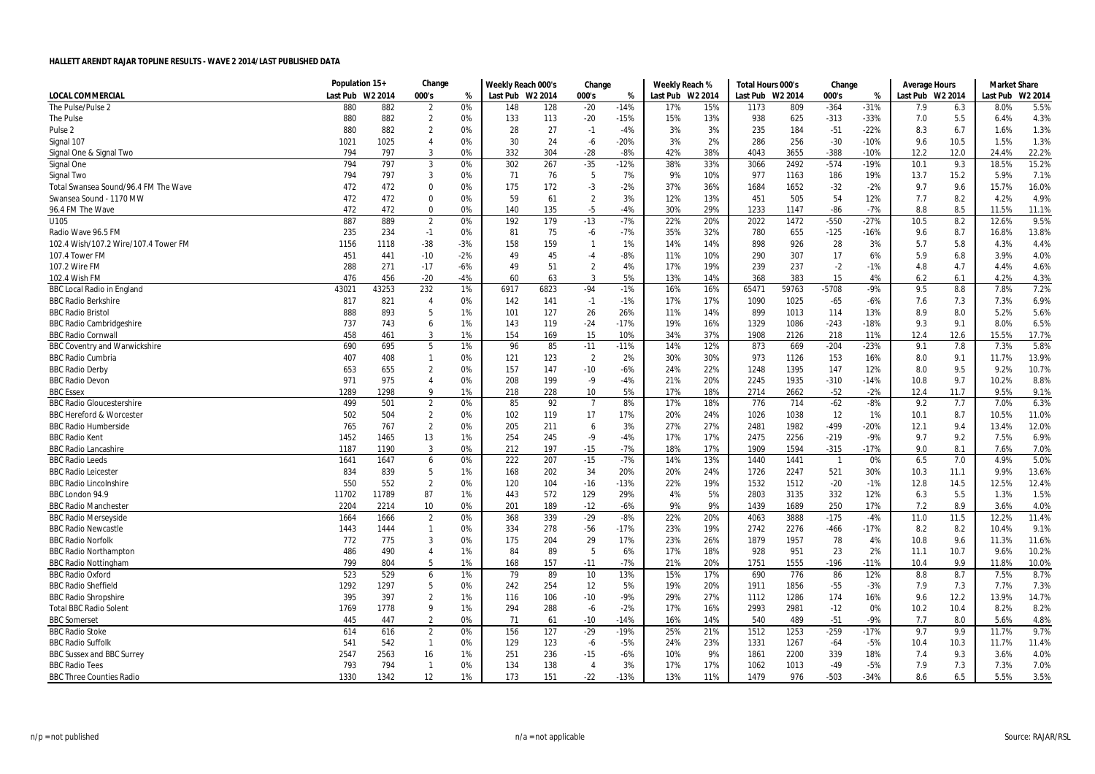|                                      | Population 15+ |               | Change         |       | Weekly Reach 000's |      | Change         |        | Weekly Reach %   |     | Total Hours 000's |       | Change         |        | Average Hours    |      | <b>Market Share</b> |         |
|--------------------------------------|----------------|---------------|----------------|-------|--------------------|------|----------------|--------|------------------|-----|-------------------|-------|----------------|--------|------------------|------|---------------------|---------|
| LOCAL COMMERCIAL                     | Last Pub       | W2 2014       | 000's          | %     | Last Pub W2 2014   |      | 000's          | %      | Last Pub W2 2014 |     | Last Pub W2 2014  |       | 000's          | %      | Last Pub W2 2014 |      | Last Pub            | W2 2014 |
| The Pulse/Pulse 2                    | 880            | 882           | $\overline{2}$ | 0%    | 148                | 128  | $-20$          | $-14%$ | 17%              | 15% | 1173              | 809   | $-364$         | $-31%$ | 7.9              | 6.3  | 8.0%                | 5.5%    |
| The Pulse                            | 880            | 882           | $\overline{2}$ | 0%    | 133                | 113  | $-20$          | $-15%$ | 15%              | 13% | 938               | 625   | $-313$         | $-33%$ | 7.0              | 5.5  | 6.4%                | 4.3%    |
| Pulse 2                              | 880            | 882           | $\overline{2}$ | 0%    | 28                 | 27   | $-1$           | $-4%$  | 3%               | 3%  | 235               | 184   | $-51$          | $-22%$ | 8.3              | 6.7  | 1.6%                | 1.3%    |
| Signal 107                           | 1021           | 1025          | 4              | 0%    | 30                 | 24   | -6             | $-20%$ | 3%               | 2%  | 286               | 256   | $-30$          | $-10%$ | 9.6              | 10.5 | 1.5%                | 1.3%    |
| Signal One & Signal Two              | 794            | 797           | 3              | 0%    | 332                | 304  | $-28$          | $-8%$  | 42%              | 38% | 4043              | 3655  | $-388$         | $-10%$ | 12.2             | 12.0 | 24.4%               | 22.2%   |
| Signal One                           | 794            | 797           | $\mathbf{3}$   | 0%    | 302                | 267  | $-35$          | $-12%$ | 38%              | 33% | 3066              | 2492  | $-574$         | $-19%$ | 10.1             | 9.3  | 18.5%               | 15.2%   |
| Signal Two                           | 794            | 797           | $\mathbf{3}$   | 0%    | 71                 | 76   | 5              | 7%     | 9%               | 10% | 977               | 1163  | 186            | 19%    | 13.7             | 15.2 | 5.9%                | 7.1%    |
| Total Swansea Sound/96.4 FM The Wave | 472            | 472           | $\mathbf 0$    | 0%    | 175                | 172  | -3             | $-2%$  | 37%              | 36% | 1684              | 1652  | $-32$          | $-2%$  | 9.7              | 9.6  | 15.7%               | 16.0%   |
| Swansea Sound - 1170 MW              | 472            | 472           | $\Omega$       | 0%    | 59                 | 61   | $\overline{2}$ | 3%     | 12%              | 13% | 451               | 505   | 54             | 12%    | 7.7              | 8.2  | 4.2%                | 4.9%    |
| 96.4 FM The Wave                     | 472            | 472           | $\mathbf 0$    | 0%    | 140                | 135  | $-5$           | $-4%$  | 30%              | 29% | 1233              | 1147  | $-86$          | $-7%$  | 8.8              | 8.5  | 11.5%               | 11.1%   |
| U105                                 | 887            | 889           | $\overline{2}$ | 0%    | 192                | 179  | $-13$          | $-7%$  | 22%              | 20% | 2022              | 1472  | $-550$         | $-27%$ | 10.5             | 8.2  | 12.6%               | 9.5%    |
| Radio Wave 96.5 FM                   | 235            | 234           | $-1$           | 0%    | 81                 | 75   | -6             | $-7%$  | 35%              | 32% | 780               | 655   | $-125$         | $-16%$ | 9.6              | 8.7  | 16.8%               | 13.8%   |
| 102.4 Wish/107.2 Wire/107.4 Tower FM | 1156           | 1118          | $-38$          | $-3%$ | 158                | 159  | $\mathbf{1}$   | 1%     | 14%              | 14% | 898               | 926   | 28             | 3%     | 5.7              | 5.8  | 4.3%                | 4.4%    |
| 107.4 Tower FM                       | 451            | 441           | $-10$          | $-2%$ | 49                 | 45   | -4             | $-8%$  | 11%              | 10% | 290               | 307   | 17             | 6%     | 5.9              | 6.8  | 3.9%                | 4.0%    |
| 107.2 Wire FM                        | 288            | 271           | $-17$          | $-6%$ | 49                 | 51   | $\overline{2}$ | 4%     | 17%              | 19% | 239               | 237   | $-2$           | $-1%$  | 4.8              | 4.7  | 4.4%                | 4.6%    |
| 102.4 Wish FM                        | 476            | 456           | $-20$          | $-4%$ | 60                 | 63   | $\overline{3}$ | 5%     | 13%              | 14% | 368               | 383   | 15             | 4%     | 6.2              | 6.1  | 4.2%                | 4.3%    |
| <b>BBC Local Radio in England</b>    | 43021          | 43253         | 232            | 1%    | 6917               | 6823 | $-94$          | $-1%$  | 16%              | 16% | 65471             | 59763 | $-5708$        | $-9%$  | 9.5              | 8.8  | 7.8%                | 7.2%    |
| <b>BBC Radio Berkshire</b>           | 817            | 821           | $\overline{4}$ | 0%    | 142                | 141  | $-1$           | $-1%$  | 17%              | 17% | 1090              | 1025  | $-65$          | $-6%$  | 7.6              | 7.3  | 7.3%                | 6.9%    |
| <b>BBC Radio Bristol</b>             | 888            | 893           | 5              | 1%    | 101                | 127  | 26             | 26%    | 11%              | 14% | 899               | 1013  | 114            | 13%    | 8.9              | 8.0  | 5.2%                | 5.6%    |
| <b>BBC Radio Cambridgeshire</b>      | 737            | 743           | 6              | 1%    | 143                | 119  | $-24$          | $-17%$ | 19%              | 16% | 1329              | 1086  | $-243$         | $-18%$ | 9.3              | 9.1  | 8.0%                | 6.5%    |
| <b>BBC Radio Cornwall</b>            | 458            | 461           | $\overline{3}$ | 1%    | 154                | 169  | 15             | 10%    | 34%              | 37% | 1908              | 2126  | 218            | 11%    | 12.4             | 12.6 | 15.5%               | 17.7%   |
| <b>BBC Coventry and Warwickshire</b> | 690            | 695           | 5              | 1%    | 96                 | 85   | $-11$          | $-11%$ | 14%              | 12% | 873               | 669   | $-204$         | $-23%$ | 9.1              | 7.8  | 7.3%                | 5.8%    |
| <b>BBC Radio Cumbria</b>             | 407            | 408           | $\mathbf{1}$   | 0%    | 121                | 123  | $\overline{2}$ | 2%     | 30%              | 30% | 973               | 1126  | 153            | 16%    | 8.0              | 9.1  | 11.7%               | 13.9%   |
| <b>BBC Radio Derby</b>               | 653            | 655           | $\overline{2}$ | 0%    | 157                | 147  | $-10$          | $-6%$  | 24%              | 22% | 1248              | 1395  | 147            | 12%    | 8.0              | 9.5  | 9.2%                | 10.7%   |
| <b>BBC Radio Devon</b>               | 971            | 975           | $\overline{4}$ | 0%    | 208                | 199  | -9             | $-4%$  | 21%              | 20% | 2245              | 1935  | $-310$         | $-14%$ | 10.8             | 9.7  | 10.2%               | 8.8%    |
| <b>BBC</b> Essex                     | 1289           | 1298          | 9              | 1%    | 218                | 228  | 10             | 5%     | 17%              | 18% | 2714              | 2662  | $-52$          | $-2%$  | 12.4             | 11.7 | 9.5%                | 9.1%    |
| <b>BBC Radio Gloucestershire</b>     | 499            | 501           | $\overline{2}$ | 0%    | 85                 | 92   | $\overline{7}$ | 8%     | 17%              | 18% | 776               | 714   | $-62$          | $-8%$  | 9.2              | 7.7  | 7.0%                | 6.3%    |
| <b>BBC Hereford &amp; Worcester</b>  | 502            | 504           | $\overline{2}$ | 0%    | 102                | 119  | 17             | 17%    | 20%              | 24% | 1026              | 1038  | 12             | 1%     | 10.1             | 8.7  | 10.5%               | 11.0%   |
| <b>BBC Radio Humberside</b>          | 765            | 767           | $\overline{2}$ | 0%    | 205                | 211  | 6              | 3%     | 27%              | 27% | 2481              | 1982  | $-499$         | $-20%$ | 12.1             | 9.4  | 13.4%               | 12.0%   |
| <b>BBC Radio Kent</b>                | 1452           | 1465          | 13             | 1%    | 254                | 245  | $-9$           | $-4%$  | 17%              | 17% | 2475              | 2256  | $-219$         | $-9%$  | 9.7              | 9.2  | 7.5%                | 6.9%    |
| <b>BBC Radio Lancashire</b>          | 1187           | 1190          | 3              | 0%    | 212                | 197  | $-15$          | $-7%$  | 18%              | 17% | 1909              | 1594  | $-315$         | $-17%$ | 9.0              | 8.1  | 7.6%                | 7.0%    |
| <b>BBC Radio Leeds</b>               | 1641           | 1647          | 6              | 0%    | 222                | 207  | $-15$          | $-7%$  | 14%              | 13% | 1440              | 1441  | $\overline{1}$ | 0%     | 6.5              | 7.0  | 4.9%                | 5.0%    |
| <b>BBC Radio Leicester</b>           | 834            | 839           | 5              | 1%    | 168                | 202  | 34             | 20%    | 20%              | 24% | 1726              | 2247  | 521            | 30%    | 10.3             | 11.1 | 9.9%                | 13.6%   |
| <b>BBC Radio Lincolnshire</b>        | 550            | 552           | $\overline{2}$ | 0%    | 120                | 104  | $-16$          | $-13%$ | 22%              | 19% | 1532              | 1512  | $-20$          | $-1%$  | 12.8             | 14.5 | 12.5%               | 12.4%   |
| BBC London 94.9                      |                |               | 87             | 1%    |                    | 572  | 129            | 29%    | 4%               | 5%  | 2803              | 3135  | 332            | 12%    |                  | 5.5  | 1.3%                | 1.5%    |
|                                      | 11702<br>2204  | 11789<br>2214 | 10             | 0%    | 443<br>201         | 189  |                | $-6%$  | 9%               | 9%  | 1439              | 1689  |                | 17%    | 6.3<br>7.2       | 8.9  | 3.6%                | 4.0%    |
| <b>BBC Radio Manchester</b>          |                |               | $\overline{2}$ | 0%    |                    |      | $-12$          | $-8%$  |                  |     |                   |       | 250            | $-4%$  |                  |      |                     |         |
| <b>BBC Radio Merseyside</b>          | 1664           | 1666          |                |       | 368                | 339  | $-29$          |        | 22%              | 20% | 4063              | 3888  | $-175$         |        | 11.0             | 11.5 | 12.2%               | 11.4%   |
| <b>BBC Radio Newcastle</b>           | 1443           | 1444          | $\mathbf{1}$   | 0%    | 334                | 278  | $-56$          | $-17%$ | 23%              | 19% | 2742              | 2276  | $-466$         | $-17%$ | 8.2              | 8.2  | 10.4%               | 9.1%    |
| <b>BBC Radio Norfolk</b>             | 772            | 775           | 3              | 0%    | 175                | 204  | 29             | 17%    | 23%              | 26% | 1879              | 1957  | 78             | 4%     | 10.8             | 9.6  | 11.3%               | 11.6%   |
| <b>BBC Radio Northampton</b>         | 486            | 490           | $\overline{4}$ | 1%    | 84                 | 89   | 5              | 6%     | 17%              | 18% | 928               | 951   | 23             | 2%     | 11.1             | 10.7 | 9.6%                | 10.2%   |
| <b>BBC Radio Nottingham</b>          | 799            | 804           | 5              | 1%    | 168                | 157  | $-11$          | $-7%$  | 21%              | 20% | 1751              | 1555  | $-196$         | $-11%$ | 10.4             | 9.9  | 11.8%               | 10.0%   |
| <b>BBC Radio Oxford</b>              | 523            | 529           | 6              | 1%    | 79                 | 89   | 10             | 13%    | 15%              | 17% | 690               | 776   | 86             | 12%    | 8.8              | 8.7  | 7.5%                | 8.7%    |
| <b>BBC Radio Sheffield</b>           | 1292           | 1297          | 5              | 0%    | 242                | 254  | 12             | 5%     | 19%              | 20% | 1911              | 1856  | $-55$          | $-3%$  | 7.9              | 7.3  | 7.7%                | 7.3%    |
| <b>BBC Radio Shropshire</b>          | 395            | 397           | $\overline{2}$ | 1%    | 116                | 106  | $-10$          | $-9%$  | 29%              | 27% | 1112              | 1286  | 174            | 16%    | 9.6              | 12.2 | 13.9%               | 14.7%   |
| <b>Total BBC Radio Solent</b>        | 1769           | 1778          | 9              | 1%    | 294                | 288  | -6             | $-2%$  | 17%              | 16% | 2993              | 2981  | $-12$          | 0%     | 10.2             | 10.4 | 8.2%                | 8.2%    |
| <b>BBC</b> Somerset                  | 445            | 447           | $\overline{2}$ | 0%    | 71                 | 61   | $-10$          | $-14%$ | 16%              | 14% | 540               | 489   | $-51$          | $-9%$  | 7.7              | 8.0  | 5.6%                | 4.8%    |
| <b>BBC Radio Stoke</b>               | 614            | 616           | $\overline{2}$ | 0%    | 156                | 127  | $-29$          | $-19%$ | 25%              | 21% | 1512              | 1253  | $-259$         | $-17%$ | 9.7              | 9.9  | 11.7%               | 9.7%    |
| <b>BBC Radio Suffolk</b>             | 541            | 542           | $\mathbf{1}$   | 0%    | 129                | 123  | -6             | $-5%$  | 24%              | 23% | 1331              | 1267  | $-64$          | $-5%$  | 10.4             | 10.3 | 11.7%               | 11.4%   |
| <b>BBC Sussex and BBC Surrey</b>     | 2547           | 2563          | 16             | 1%    | 251                | 236  | $-15$          | $-6%$  | 10%              | 9%  | 1861              | 2200  | 339            | 18%    | 7.4              | 9.3  | 3.6%                | 4.0%    |
| <b>BBC Radio Tees</b>                | 793            | 794           | $\overline{1}$ | 0%    | 134                | 138  | $\overline{4}$ | 3%     | 17%              | 17% | 1062              | 1013  | $-49$          | $-5%$  | 7.9              | 7.3  | 7.3%                | 7.0%    |
| <b>BBC Three Counties Radio</b>      | 1330           | 1342          | 12             | 1%    | 173                | 151  | $-22$          | $-13%$ | 13%              | 11% | 1479              | 976   | $-503$         | $-34%$ | 8.6              | 6.5  | 5.5%                | 3.5%    |